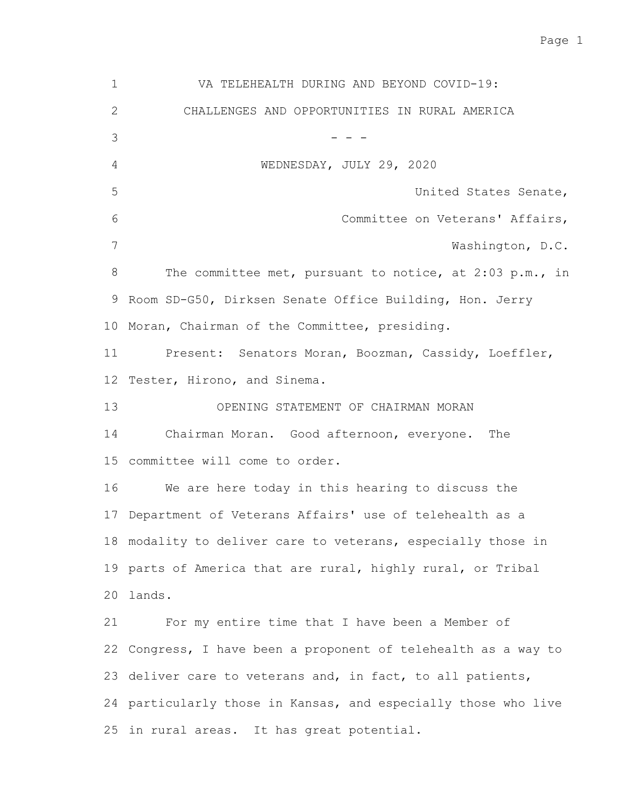Page 1

VA TELEHEALTH DURING AND BEYOND COVID-19: CHALLENGES AND OPPORTUNITIES IN RURAL AMERICA - - - WEDNESDAY, JULY 29, 2020 United States Senate, Committee on Veterans' Affairs, Washington, D.C. The committee met, pursuant to notice, at 2:03 p.m., in 9 Room SD-G50, Dirksen Senate Office Building, Hon. Jerry 10 Moran, Chairman of the Committee, presiding. Present: Senators Moran, Boozman, Cassidy, Loeffler, 12 Tester, Hirono, and Sinema. OPENING STATEMENT OF CHAIRMAN MORAN Chairman Moran. Good afternoon, everyone. The 15 committee will come to order. We are here today in this hearing to discuss the 17 Department of Veterans Affairs' use of telehealth as a 18 modality to deliver care to veterans, especially those in 19 parts of America that are rural, highly rural, or Tribal lands. 20 For my entire time that I have been a Member of 22 Congress, I have been a proponent of telehealth as a way to 23 deliver care to veterans and, in fact, to all patients, 24 particularly those in Kansas, and especially those who live 25 in rural areas. It has great potential. 1 2 3 4 5 6 7 8 11 13 14 16 21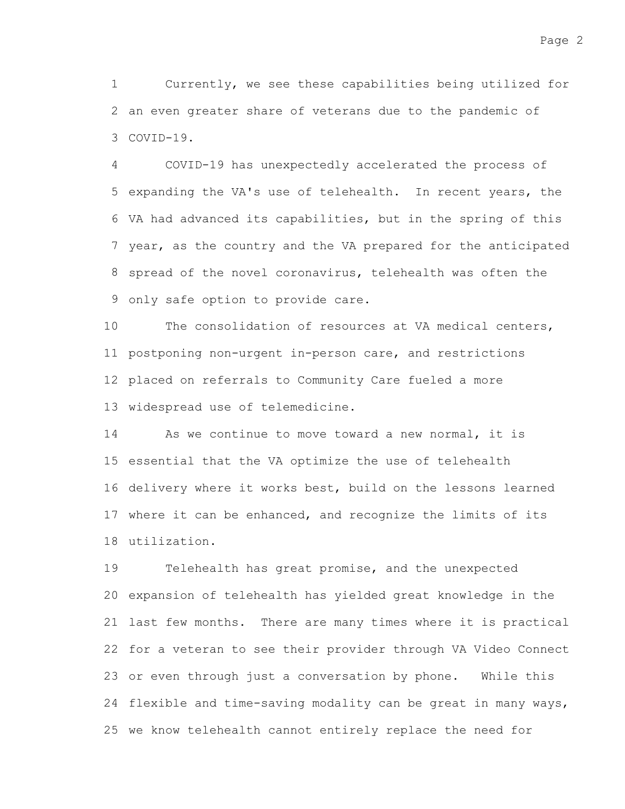Currently, we see these capabilities being utilized for 2 an even greater share of veterans due to the pandemic of COVID-19. 3 1

COVID-19 has unexpectedly accelerated the process of 5 expanding the VA's use of telehealth. In recent years, the VA had advanced its capabilities, but in the spring of this 6 7 year, as the country and the VA prepared for the anticipated 8 spread of the novel coronavirus, telehealth was often the 9 only safe option to provide care. 4

The consolidation of resources at VA medical centers, 11 postponing non-urgent in-person care, and restrictions 12 placed on referrals to Community Care fueled a more 13 widespread use of telemedicine. 10

As we continue to move toward a new normal, it is 15 essential that the VA optimize the use of telehealth 16 delivery where it works best, build on the lessons learned 17 where it can be enhanced, and recognize the limits of its utilization. 18 14

Telehealth has great promise, and the unexpected 20 expansion of telehealth has yielded great knowledge in the 21 last few months. There are many times where it is practical 22 for a veteran to see their provider through VA Video Connect 23 or even through just a conversation by phone. While this 24 flexible and time-saving modality can be great in many ways, 25 we know telehealth cannot entirely replace the need for 19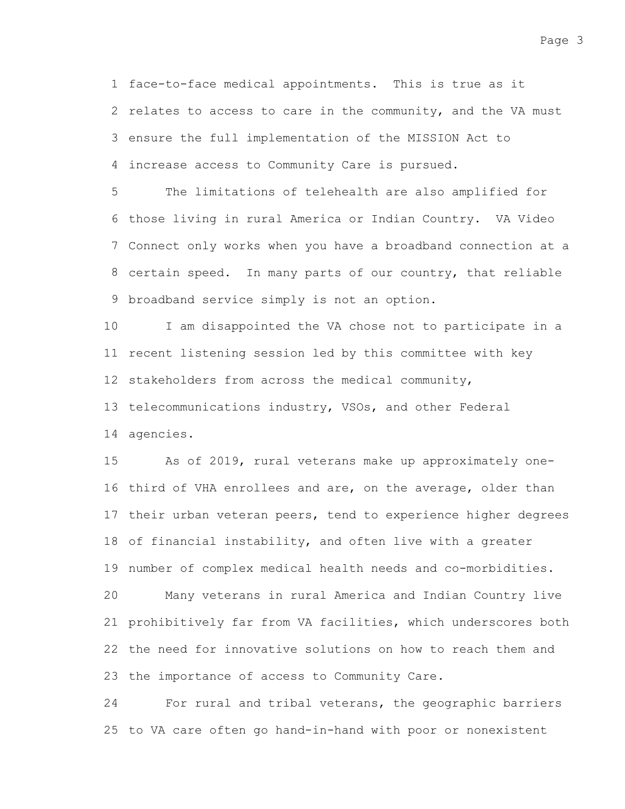1 face-to-face medical appointments. This is true as it 2 relates to access to care in the community, and the VA must 3 ensure the full implementation of the MISSION Act to increase access to Community Care is pursued. 4

The limitations of telehealth are also amplified for 6 those living in rural America or Indian Country. VA Video Connect only works when you have a broadband connection at a 7 8 certain speed. In many parts of our country, that reliable 9 broadband service simply is not an option. 5

I am disappointed the VA chose not to participate in a 11 recent listening session led by this committee with key 12 stakeholders from across the medical community, 13 telecommunications industry, VSOs, and other Federal agencies. 14 10

As of 2019, rural veterans make up approximately one-16 third of VHA enrollees and are, on the average, older than 17 their urban veteran peers, tend to experience higher degrees 18 of financial instability, and often live with a greater 19 number of complex medical health needs and co-morbidities. Many veterans in rural America and Indian Country live 21 prohibitively far from VA facilities, which underscores both 22 the need for innovative solutions on how to reach them and 23 the importance of access to Community Care. 15 20

For rural and tribal veterans, the geographic barriers 25 to VA care often go hand-in-hand with poor or nonexistent 24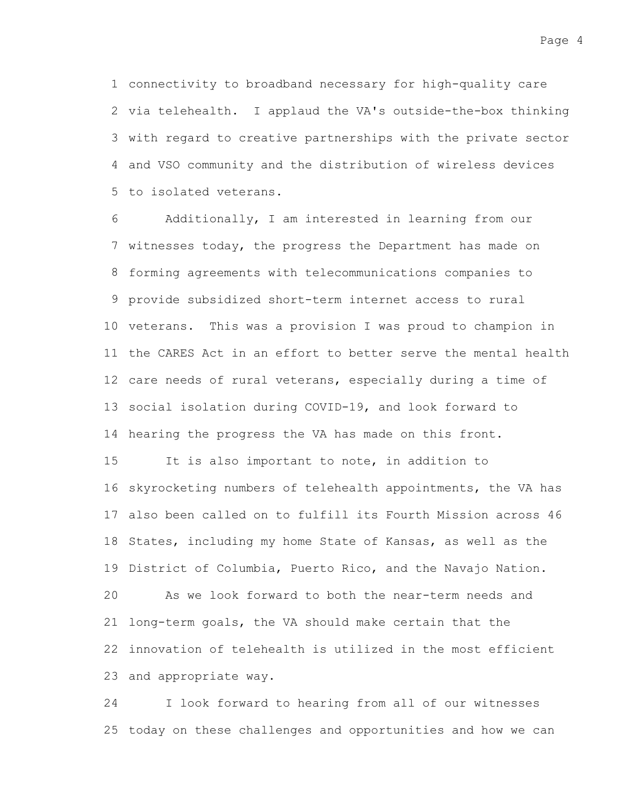connectivity to broadband necessary for high-quality care 1 2 via telehealth. I applaud the VA's outside-the-box thinking 3 with regard to creative partnerships with the private sector and VSO community and the distribution of wireless devices 4 5 to isolated veterans.

Additionally, I am interested in learning from our 7 witnesses today, the progress the Department has made on 8 forming agreements with telecommunications companies to provide subsidized short-term internet access to rural 9 10 veterans. This was a provision I was proud to champion in 11 the CARES Act in an effort to better serve the mental health 12 care needs of rural veterans, especially during a time of 13 social isolation during COVID-19, and look forward to 14 hearing the progress the VA has made on this front. It is also important to note, in addition to 16 skyrocketing numbers of telehealth appointments, the VA has also been called on to fulfill its Fourth Mission across 46 17 18 States, including my home State of Kansas, as well as the 19 District of Columbia, Puerto Rico, and the Navajo Nation. As we look forward to both the near-term needs and 6 15 20

21 long-term goals, the VA should make certain that the 22 innovation of telehealth is utilized in the most efficient 23 and appropriate way.

I look forward to hearing from all of our witnesses 25 today on these challenges and opportunities and how we can 24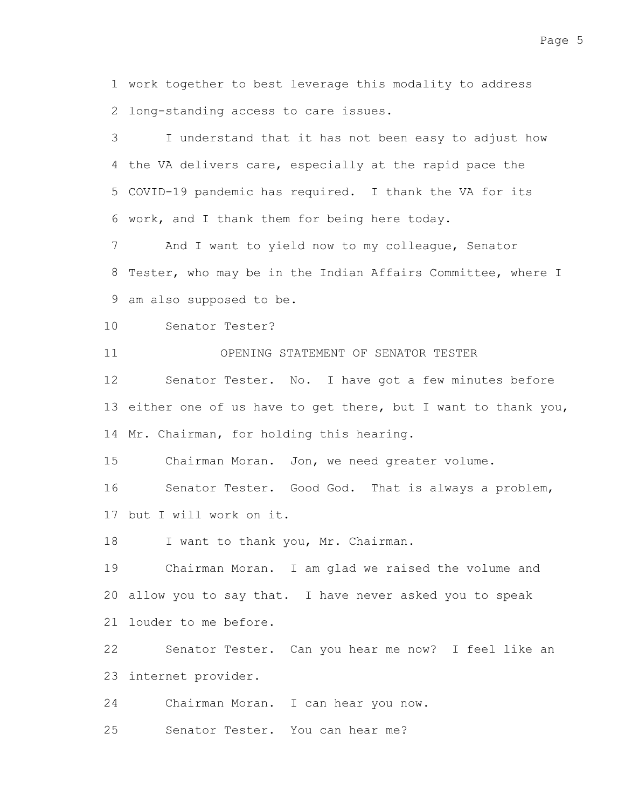work together to best leverage this modality to address 1 2 long-standing access to care issues.

I understand that it has not been easy to adjust how 4 the VA delivers care, especially at the rapid pace the 5 COVID-19 pandemic has required. I thank the VA for its 6 work, and I thank them for being here today. 3

And I want to yield now to my colleague, Senator 8 Tester, who may be in the Indian Affairs Committee, where I 9 am also supposed to be. 7

Senator Tester? 10

OPENING STATEMENT OF SENATOR TESTER 11

Senator Tester. No. I have got a few minutes before 13 either one of us have to get there, but I want to thank you, 14 Mr. Chairman, for holding this hearing. 12

Chairman Moran. Jon, we need greater volume. 15

Senator Tester. Good God. That is always a problem, 17 but I will work on it. 16

I want to thank you, Mr. Chairman. 18

Chairman Moran. I am glad we raised the volume and allow you to say that. I have never asked you to speak 20 21 louder to me before. 19

Senator Tester. Can you hear me now? I feel like an 23 internet provider. 22

Chairman Moran. I can hear you now. 24

Senator Tester. You can hear me? 25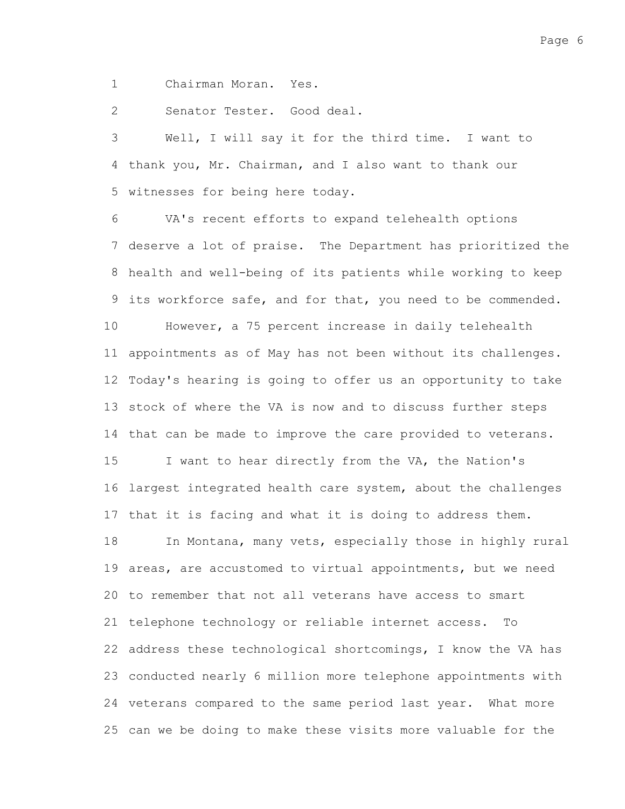Chairman Moran. Yes. 1

Senator Tester. Good deal. 2

Well, I will say it for the third time. I want to 4 thank you, Mr. Chairman, and I also want to thank our 5 witnesses for being here today. 3

VA's recent efforts to expand telehealth options deserve a lot of praise. The Department has prioritized the 8 health and well-being of its patients while working to keep its workforce safe, and for that, you need to be commended. However, a 75 percent increase in daily telehealth appointments as of May has not been without its challenges. 11 12 Today's hearing is going to offer us an opportunity to take 13 stock of where the VA is now and to discuss further steps 14 that can be made to improve the care provided to veterans. I want to hear directly from the VA, the Nation's 16 largest integrated health care system, about the challenges 17 that it is facing and what it is doing to address them. In Montana, many vets, especially those in highly rural 19 areas, are accustomed to virtual appointments, but we need 20 to remember that not all veterans have access to smart 21 telephone technology or reliable internet access. To 22 address these technological shortcomings, I know the VA has 23 conducted nearly 6 million more telephone appointments with 24 veterans compared to the same period last year. What more 25 can we be doing to make these visits more valuable for the 6 7 9 10 15 18

Page 6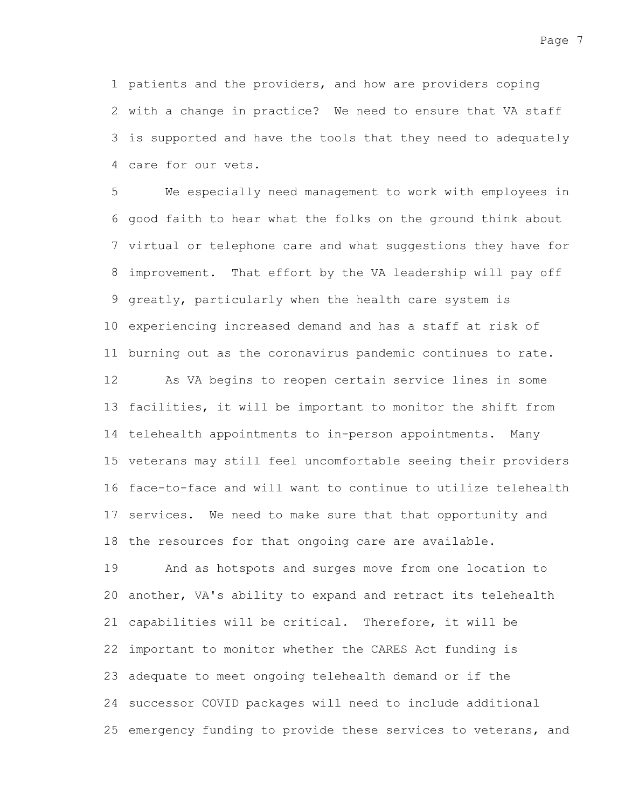Page 7

1 patients and the providers, and how are providers coping 2 with a change in practice? We need to ensure that VA staff is supported and have the tools that they need to adequately 3 care for our vets. 4

We especially need management to work with employees in 6 good faith to hear what the folks on the ground think about 7 virtual or telephone care and what suggestions they have for improvement. That effort by the VA leadership will pay off 8 9 greatly, particularly when the health care system is 10 experiencing increased demand and has a staff at risk of 11 burning out as the coronavirus pandemic continues to rate. As VA begins to reopen certain service lines in some 13 facilities, it will be important to monitor the shift from 14 telehealth appointments to in-person appointments. Many 15 veterans may still feel uncomfortable seeing their providers 16 face-to-face and will want to continue to utilize telehealth 17 services. We need to make sure that that opportunity and 18 the resources for that ongoing care are available. 5 12

And as hotspots and surges move from one location to 20 another, VA's ability to expand and retract its telehealth 21 capabilities will be critical. Therefore, it will be 22 important to monitor whether the CARES Act funding is 23 adequate to meet ongoing telehealth demand or if the 24 successor COVID packages will need to include additional 25 emergency funding to provide these services to veterans, and 19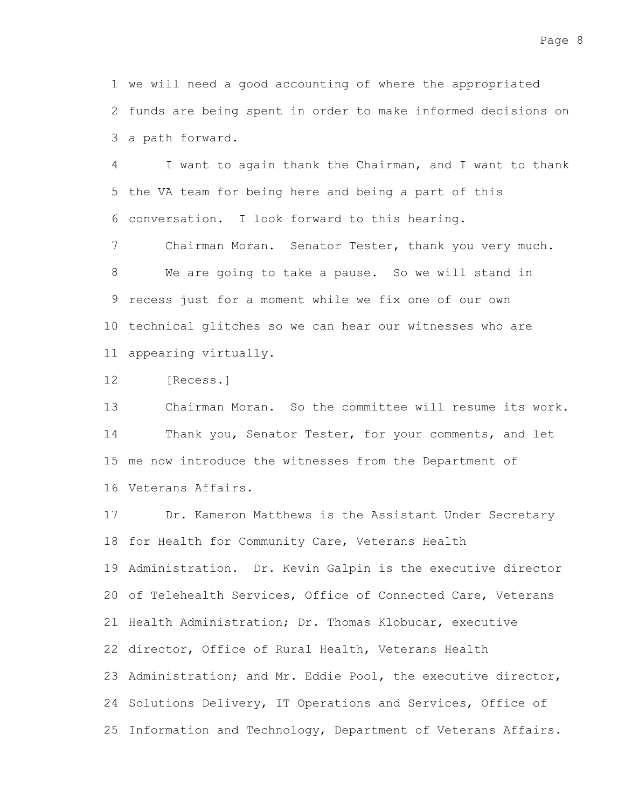1 we will need a good accounting of where the appropriated 2 funds are being spent in order to make informed decisions on 3 a path forward.

I want to again thank the Chairman, and I want to thank 5 the VA team for being here and being a part of this conversation. I look forward to this hearing. 6 4

Chairman Moran. Senator Tester, thank you very much. We are going to take a pause. So we will stand in 9 recess just for a moment while we fix one of our own 10 technical glitches so we can hear our witnesses who are 11 appearing virtually. 7 8

[Recess.] 12

Chairman Moran. So the committee will resume its work. Thank you, Senator Tester, for your comments, and let 15 me now introduce the witnesses from the Department of 16 Veterans Affairs. 13 14

Dr. Kameron Matthews is the Assistant Under Secretary 18 for Health for Community Care, Veterans Health 19 Administration. Dr. Kevin Galpin is the executive director 20 of Telehealth Services, Office of Connected Care, Veterans 21 Health Administration; Dr. Thomas Klobucar, executive 22 director, Office of Rural Health, Veterans Health 23 Administration; and Mr. Eddie Pool, the executive director, 24 Solutions Delivery, IT Operations and Services, Office of 25 Information and Technology, Department of Veterans Affairs. 17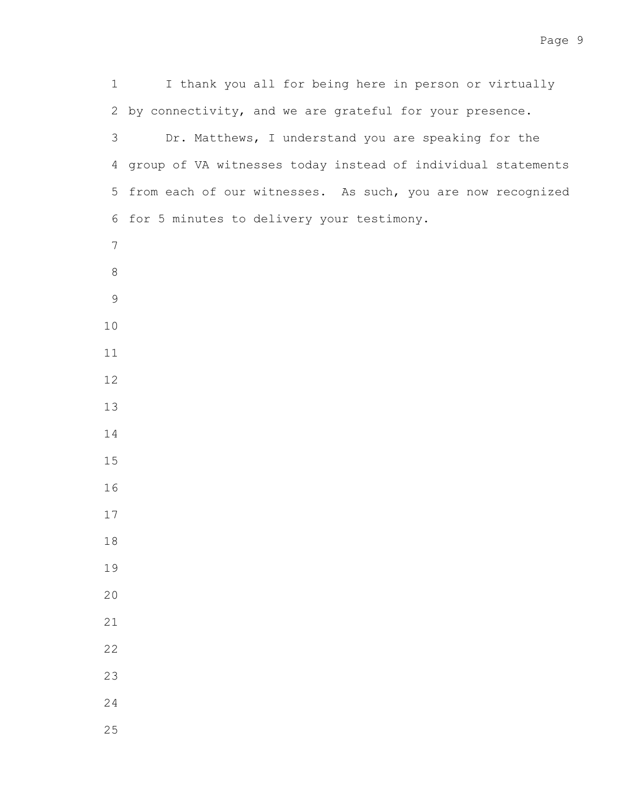I thank you all for being here in person or virtually 2 by connectivity, and we are grateful for your presence. Dr. Matthews, I understand you are speaking for the group of VA witnesses today instead of individual statements 5 from each of our witnesses. As such, you are now recognized 6 for 5 minutes to delivery your testimony.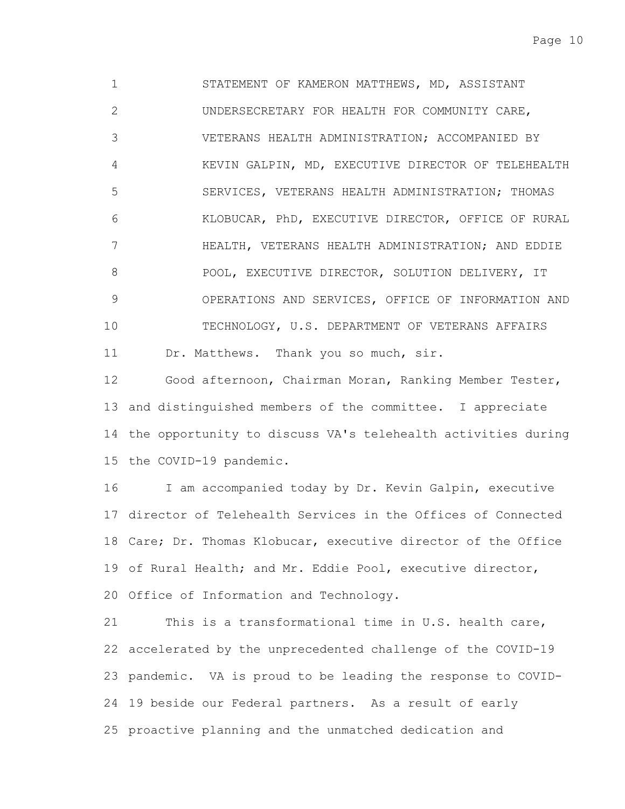STATEMENT OF KAMERON MATTHEWS, MD, ASSISTANT UNDERSECRETARY FOR HEALTH FOR COMMUNITY CARE, VETERANS HEALTH ADMINISTRATION; ACCOMPANIED BY KEVIN GALPIN, MD, EXECUTIVE DIRECTOR OF TELEHEALTH SERVICES, VETERANS HEALTH ADMINISTRATION; THOMAS KLOBUCAR, PhD, EXECUTIVE DIRECTOR, OFFICE OF RURAL HEALTH, VETERANS HEALTH ADMINISTRATION; AND EDDIE POOL, EXECUTIVE DIRECTOR, SOLUTION DELIVERY, IT OPERATIONS AND SERVICES, OFFICE OF INFORMATION AND TECHNOLOGY, U.S. DEPARTMENT OF VETERANS AFFAIRS Dr. Matthews. Thank you so much, sir. 1 2 3 4 5 6 7 8 9 10 11

Good afternoon, Chairman Moran, Ranking Member Tester, 13 and distinguished members of the committee. I appreciate 14 the opportunity to discuss VA's telehealth activities during 15 the COVID-19 pandemic. 12

I am accompanied today by Dr. Kevin Galpin, executive 17 director of Telehealth Services in the Offices of Connected 18 Care; Dr. Thomas Klobucar, executive director of the Office 19 of Rural Health; and Mr. Eddie Pool, executive director, 20 Office of Information and Technology. 16

This is a transformational time in U.S. health care, accelerated by the unprecedented challenge of the COVID-19 22 23 pandemic. VA is proud to be leading the response to COVID-24 19 beside our Federal partners. As a result of early 25 proactive planning and the unmatched dedication and 21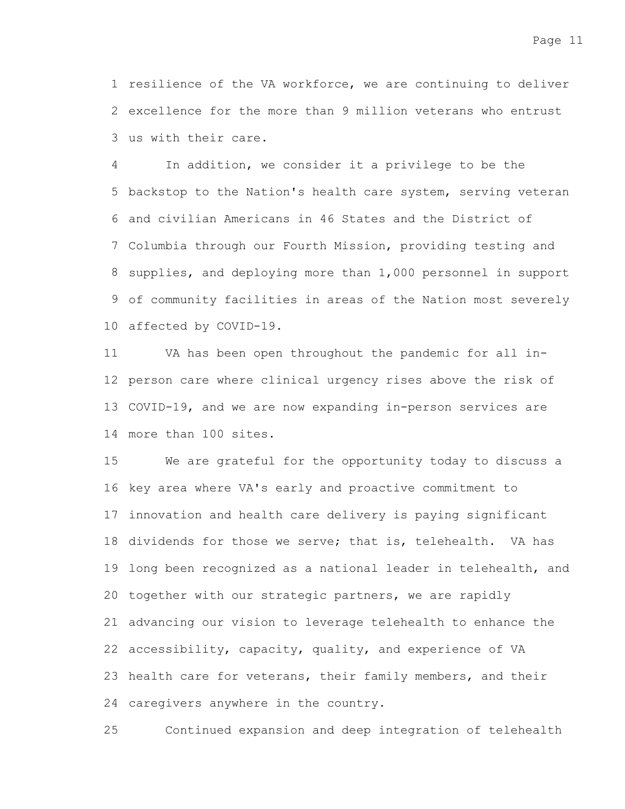1 resilience of the VA workforce, we are continuing to deliver 2 excellence for the more than 9 million veterans who entrust us with their care. 3

In addition, we consider it a privilege to be the 5 backstop to the Nation's health care system, serving veteran and civilian Americans in 46 States and the District of 6 7 Columbia through our Fourth Mission, providing testing and 8 supplies, and deploying more than 1,000 personnel in support 9 of community facilities in areas of the Nation most severely 10 affected by COVID-19. 4

VA has been open throughout the pandemic for all in-12 person care where clinical urgency rises above the risk of 13 COVID-19, and we are now expanding in-person services are more than 100 sites. 14 11

We are grateful for the opportunity today to discuss a 16 key area where VA's early and proactive commitment to 17 innovation and health care delivery is paying significant 18 dividends for those we serve; that is, telehealth. VA has 19 long been recognized as a national leader in telehealth, and 20 together with our strategic partners, we are rapidly advancing our vision to leverage telehealth to enhance the 21 22 accessibility, capacity, quality, and experience of VA 23 health care for veterans, their family members, and their 24 caregivers anywhere in the country. 15

Continued expansion and deep integration of telehealth 25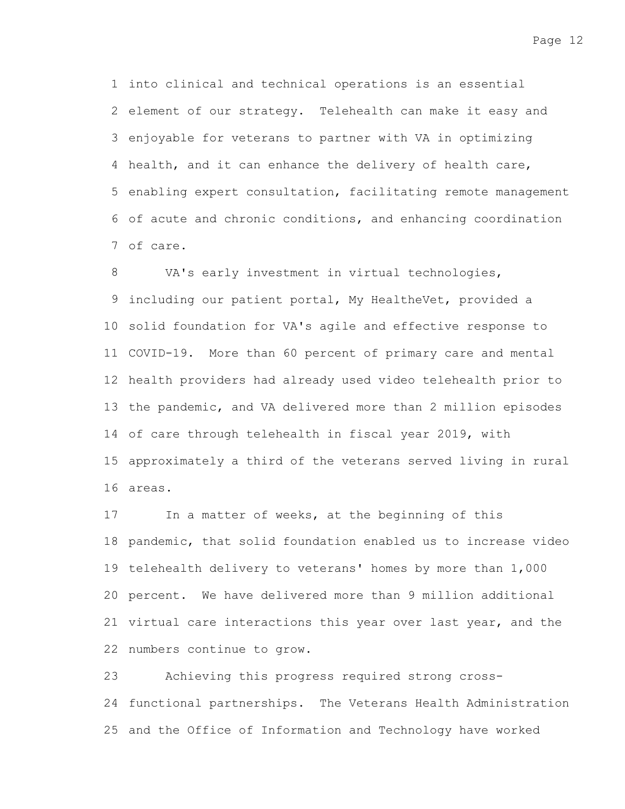1 into clinical and technical operations is an essential 2 element of our strategy. Telehealth can make it easy and 3 enjoyable for veterans to partner with VA in optimizing 4 health, and it can enhance the delivery of health care, 5 enabling expert consultation, facilitating remote management 6 of acute and chronic conditions, and enhancing coordination of care. 7

VA's early investment in virtual technologies, 9 including our patient portal, My HealtheVet, provided a 10 solid foundation for VA's agile and effective response to 11 COVID-19. More than 60 percent of primary care and mental 12 health providers had already used video telehealth prior to 13 the pandemic, and VA delivered more than 2 million episodes 14 of care through telehealth in fiscal year 2019, with 15 approximately a third of the veterans served living in rural areas. 16 8

In a matter of weeks, at the beginning of this 18 pandemic, that solid foundation enabled us to increase video 19 telehealth delivery to veterans' homes by more than 1,000 20 percent. We have delivered more than 9 million additional 21 virtual care interactions this year over last year, and the 22 numbers continue to grow. 17

Achieving this progress required strong cross-24 functional partnerships. The Veterans Health Administration 25 and the Office of Information and Technology have worked 23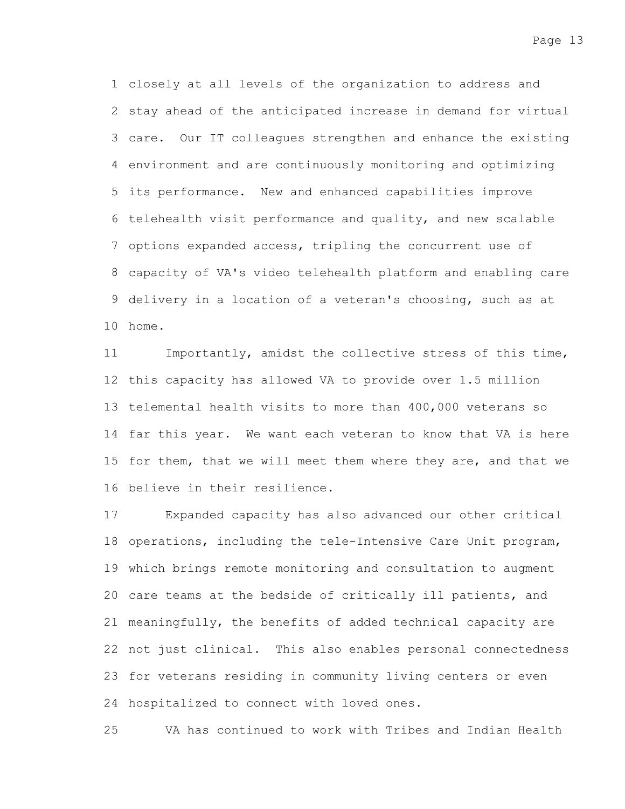closely at all levels of the organization to address and 1 2 stay ahead of the anticipated increase in demand for virtual care. Our IT colleagues strengthen and enhance the existing 3 environment and are continuously monitoring and optimizing 4 its performance. New and enhanced capabilities improve 5 6 telehealth visit performance and quality, and new scalable 7 options expanded access, tripling the concurrent use of capacity of VA's video telehealth platform and enabling care 8 9 delivery in a location of a veteran's choosing, such as at 10 home.

Importantly, amidst the collective stress of this time, 12 this capacity has allowed VA to provide over 1.5 million 13 telemental health visits to more than 400,000 veterans so 14 far this year. We want each veteran to know that VA is here 15 for them, that we will meet them where they are, and that we 16 believe in their resilience. 11

Expanded capacity has also advanced our other critical 18 operations, including the tele-Intensive Care Unit program, 19 which brings remote monitoring and consultation to augment 20 care teams at the bedside of critically ill patients, and 21 meaningfully, the benefits of added technical capacity are 22 not just clinical. This also enables personal connectedness 23 for veterans residing in community living centers or even 24 hospitalized to connect with loved ones. 17

VA has continued to work with Tribes and Indian Health 25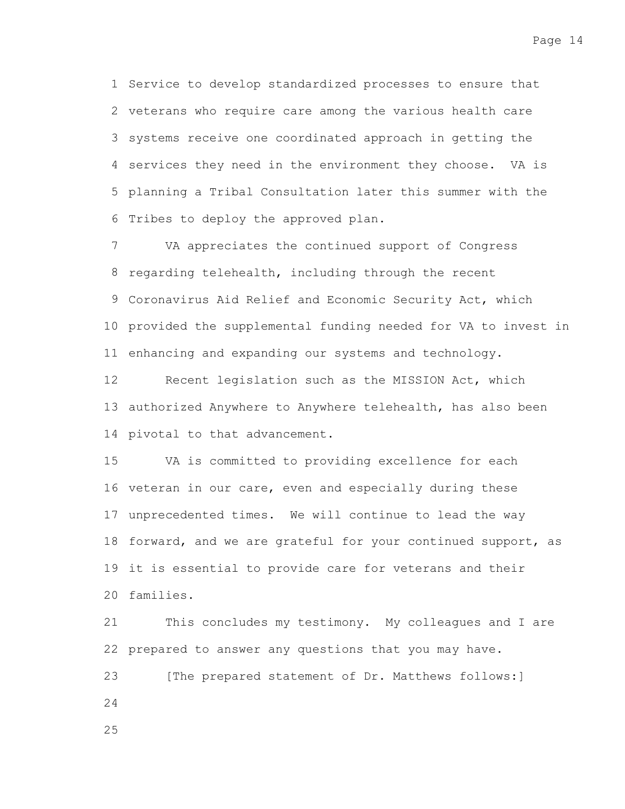1 Service to develop standardized processes to ensure that 2 veterans who require care among the various health care 3 systems receive one coordinated approach in getting the 4 services they need in the environment they choose. VA is 5 planning a Tribal Consultation later this summer with the 6 Tribes to deploy the approved plan.

VA appreciates the continued support of Congress 8 regarding telehealth, including through the recent 9 Coronavirus Aid Relief and Economic Security Act, which 10 provided the supplemental funding needed for VA to invest in 11 enhancing and expanding our systems and technology. 7

Recent legislation such as the MISSION Act, which 13 authorized Anywhere to Anywhere telehealth, has also been 14 pivotal to that advancement. 12

VA is committed to providing excellence for each 16 veteran in our care, even and especially during these 17 unprecedented times. We will continue to lead the way 18 forward, and we are grateful for your continued support, as 19 it is essential to provide care for veterans and their 20 families. 15

This concludes my testimony. My colleagues and I are 22 prepared to answer any questions that you may have. [The prepared statement of Dr. Matthews follows:] 21 23 24

25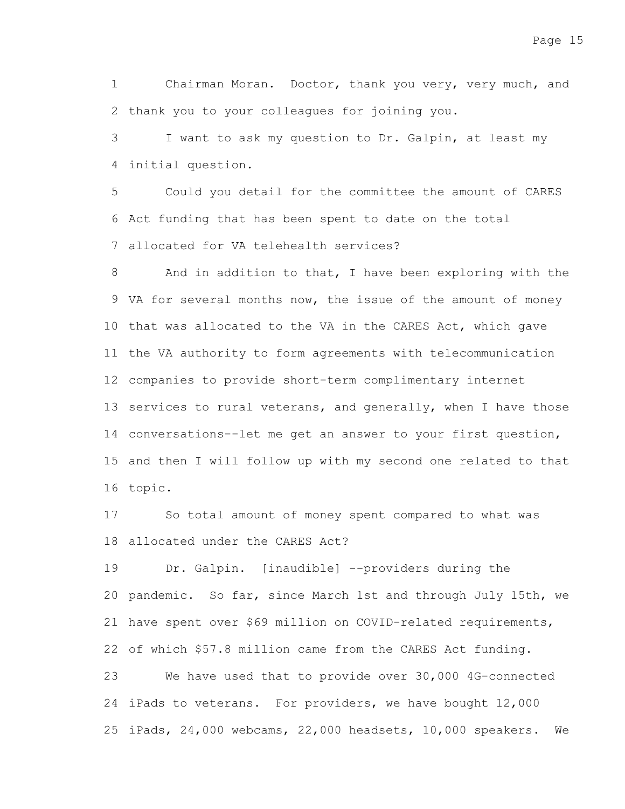Chairman Moran. Doctor, thank you very, very much, and 2 thank you to your colleagues for joining you. 1

I want to ask my question to Dr. Galpin, at least my initial question. 4 3

Could you detail for the committee the amount of CARES 6 Act funding that has been spent to date on the total allocated for VA telehealth services? 7 5

And in addition to that, I have been exploring with the 9 VA for several months now, the issue of the amount of money 10 that was allocated to the VA in the CARES Act, which gave 11 the VA authority to form agreements with telecommunication 12 companies to provide short-term complimentary internet 13 services to rural veterans, and generally, when I have those 14 conversations--let me get an answer to your first question, 15 and then I will follow up with my second one related to that 16 topic. 8

So total amount of money spent compared to what was allocated under the CARES Act? 18 17

Dr. Galpin. [inaudible] --providers during the 20 pandemic. So far, since March 1st and through July 15th, we 21 have spent over \$69 million on COVID-related requirements, 22 of which \$57.8 million came from the CARES Act funding. We have used that to provide over 30,000 4G-connected 24 iPads to veterans. For providers, we have bought 12,000 iPads, 24,000 webcams, 22,000 headsets, 10,000 speakers. We 2519 23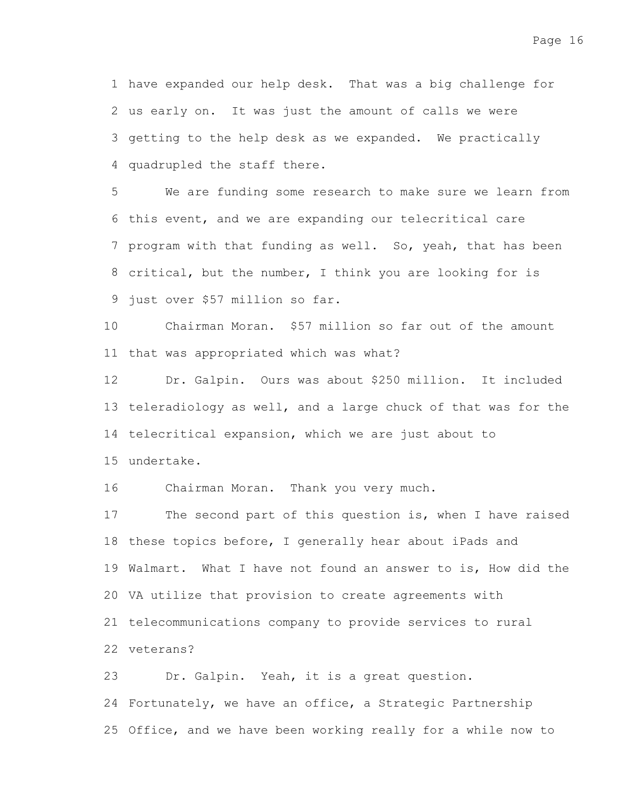1 have expanded our help desk. That was a big challenge for 2 us early on. It was just the amount of calls we were 3 getting to the help desk as we expanded. We practically 4 quadrupled the staff there.

We are funding some research to make sure we learn from 6 this event, and we are expanding our telecritical care 7 program with that funding as well. So, yeah, that has been 8 critical, but the number, I think you are looking for is 9 just over \$57 million so far. 5

Chairman Moran. \$57 million so far out of the amount 11 that was appropriated which was what? 10

Dr. Galpin. Ours was about \$250 million. It included 13 teleradiology as well, and a large chuck of that was for the 14 telecritical expansion, which we are just about to 15 undertake. 12

Chairman Moran. Thank you very much. 16

The second part of this question is, when I have raised 18 these topics before, I generally hear about iPads and 19 Walmart. What I have not found an answer to is, How did the 20 VA utilize that provision to create agreements with 21 telecommunications company to provide services to rural 22 veterans? 17

Dr. Galpin. Yeah, it is a great question. 24 Fortunately, we have an office, a Strategic Partnership 25 Office, and we have been working really for a while now to 23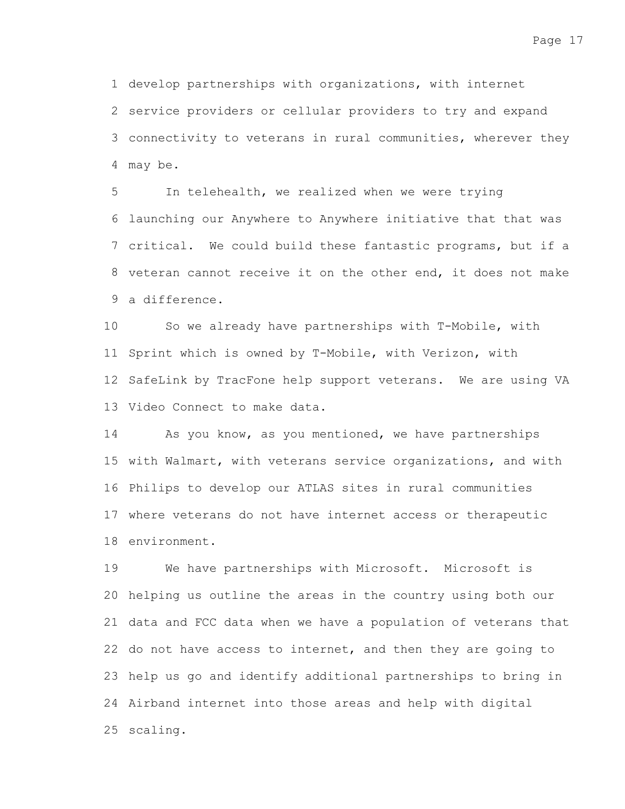1 develop partnerships with organizations, with internet

2 service providers or cellular providers to try and expand 3 connectivity to veterans in rural communities, wherever they may be. 4

In telehealth, we realized when we were trying launching our Anywhere to Anywhere initiative that that was 6 7 critical. We could build these fantastic programs, but if a 8 veteran cannot receive it on the other end, it does not make a difference. 9 5

So we already have partnerships with T-Mobile, with 11 Sprint which is owned by T-Mobile, with Verizon, with 12 SafeLink by TracFone help support veterans. We are using VA 13 Video Connect to make data. 10

As you know, as you mentioned, we have partnerships 15 with Walmart, with veterans service organizations, and with 16 Philips to develop our ATLAS sites in rural communities 17 where veterans do not have internet access or therapeutic 18 environment. 14

We have partnerships with Microsoft. Microsoft is 20 helping us outline the areas in the country using both our 21 data and FCC data when we have a population of veterans that 22 do not have access to internet, and then they are going to 23 help us go and identify additional partnerships to bring in 24 Airband internet into those areas and help with digital 25 scaling. 19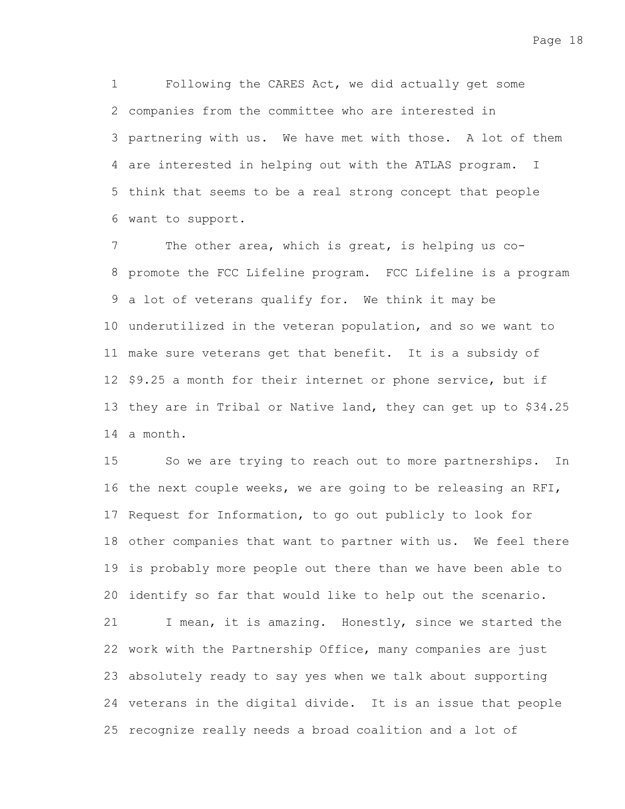Following the CARES Act, we did actually get some companies from the committee who are interested in 2 3 partnering with us. We have met with those. A lot of them 4 are interested in helping out with the ATLAS program. I 5 think that seems to be a real strong concept that people 6 want to support. 1

The other area, which is great, is helping us co-8 promote the FCC Lifeline program. FCC Lifeline is a program 9 a lot of veterans qualify for. We think it may be 10 underutilized in the veteran population, and so we want to 11 make sure veterans get that benefit. It is a subsidy of 12 \$9.25 a month for their internet or phone service, but if 13 they are in Tribal or Native land, they can get up to \$34.25 14 a month. 7

So we are trying to reach out to more partnerships. In 16 the next couple weeks, we are going to be releasing an RFI, 17 Request for Information, to go out publicly to look for 18 other companies that want to partner with us. We feel there 19 is probably more people out there than we have been able to 20 identify so far that would like to help out the scenario. I mean, it is amazing. Honestly, since we started the 22 work with the Partnership Office, many companies are just absolutely ready to say yes when we talk about supporting 23 24 veterans in the digital divide. It is an issue that people 25 recognize really needs a broad coalition and a lot of 15 21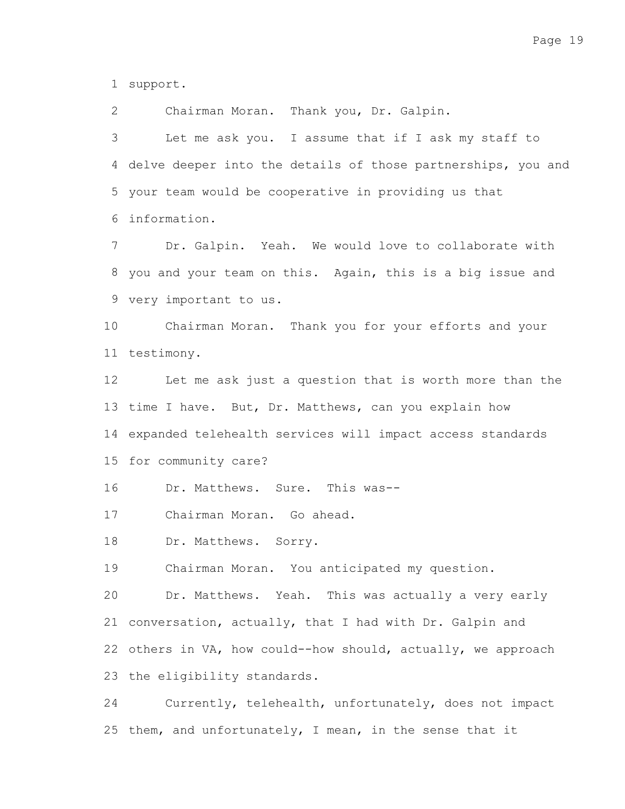support. 1

Chairman Moran. Thank you, Dr. Galpin. 2

Let me ask you. I assume that if I ask my staff to 4 delve deeper into the details of those partnerships, you and 5 your team would be cooperative in providing us that information. 6 3

Dr. Galpin. Yeah. We would love to collaborate with you and your team on this. Again, this is a big issue and 8 very important to us. 9 7

Chairman Moran. Thank you for your efforts and your 11 testimony. 10

Let me ask just a question that is worth more than the 13 time I have. But, Dr. Matthews, can you explain how 14 expanded telehealth services will impact access standards 15 for community care? 12

Dr. Matthews. Sure. This was-- 16

Chairman Moran. Go ahead. 17

Dr. Matthews. Sorry. 18

Chairman Moran. You anticipated my question. 19

Dr. Matthews. Yeah. This was actually a very early 21 conversation, actually, that I had with Dr. Galpin and 22 others in VA, how could--how should, actually, we approach 23 the eligibility standards. 20

Currently, telehealth, unfortunately, does not impact 25 them, and unfortunately, I mean, in the sense that it 24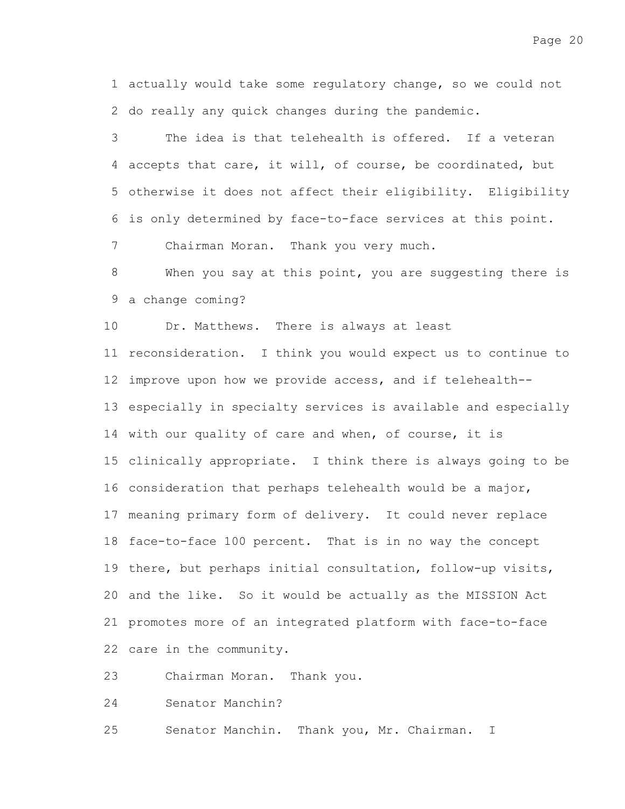1 actually would take some regulatory change, so we could not 2 do really any quick changes during the pandemic.

The idea is that telehealth is offered. If a veteran 4 accepts that care, it will, of course, be coordinated, but otherwise it does not affect their eligibility. Eligibility 5 is only determined by face-to-face services at this point. 6 3

Chairman Moran. Thank you very much. 7

When you say at this point, you are suggesting there is 9 a change coming? 8

Dr. Matthews. There is always at least 10

11 reconsideration. I think you would expect us to continue to 12 improve upon how we provide access, and if telehealth--13 especially in specialty services is available and especially 14 with our quality of care and when, of course, it is 15 clinically appropriate. I think there is always going to be 16 consideration that perhaps telehealth would be a major, 17 meaning primary form of delivery. It could never replace 18 face-to-face 100 percent. That is in no way the concept 19 there, but perhaps initial consultation, follow-up visits, 20 and the like. So it would be actually as the MISSION Act 21 promotes more of an integrated platform with face-to-face 22 care in the community.

Chairman Moran. Thank you. 23

Senator Manchin? 24

Senator Manchin. Thank you, Mr. Chairman. I 25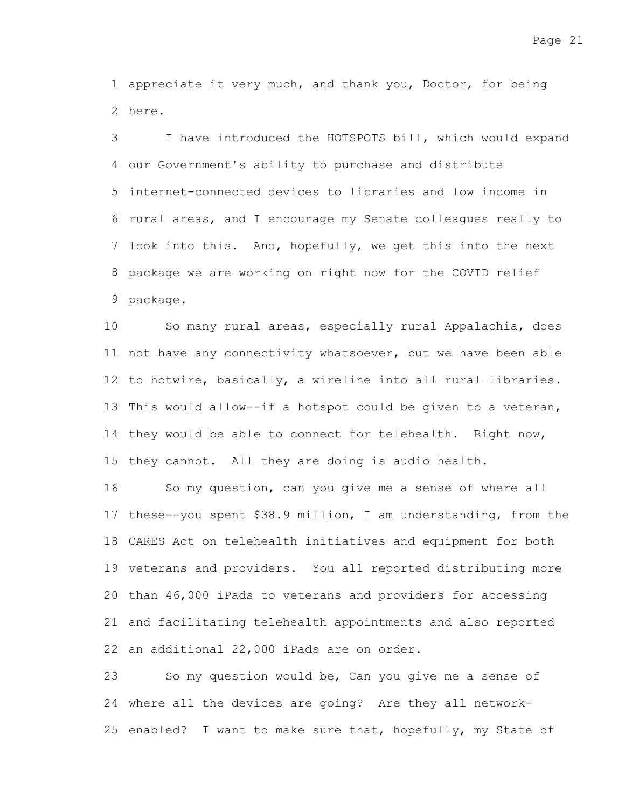1 appreciate it very much, and thank you, Doctor, for being 2 here.

I have introduced the HOTSPOTS bill, which would expand our Government's ability to purchase and distribute 4 internet-connected devices to libraries and low income in 5 6 rural areas, and I encourage my Senate colleagues really to 7 look into this. And, hopefully, we get this into the next 8 package we are working on right now for the COVID relief 9 package. 3

So many rural areas, especially rural Appalachia, does 11 not have any connectivity whatsoever, but we have been able 12 to hotwire, basically, a wireline into all rural libraries. 13 This would allow--if a hotspot could be given to a veteran, 14 they would be able to connect for telehealth. Right now, 15 they cannot. All they are doing is audio health. 10

So my question, can you give me a sense of where all 17 these--you spent \$38.9 million, I am understanding, from the CARES Act on telehealth initiatives and equipment for both 18 19 veterans and providers. You all reported distributing more 20 than 46,000 iPads to veterans and providers for accessing 21 and facilitating telehealth appointments and also reported 22 an additional 22,000 iPads are on order. 16

So my question would be, Can you give me a sense of 24 where all the devices are going? Are they all network-25 enabled? I want to make sure that, hopefully, my State of 23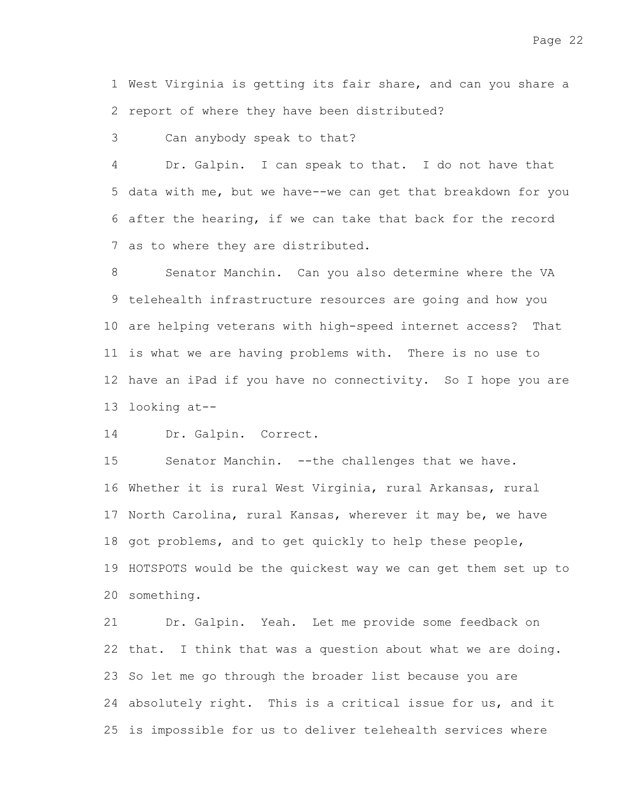1 West Virginia is getting its fair share, and can you share a 2 report of where they have been distributed?

Can anybody speak to that? 3

Dr. Galpin. I can speak to that. I do not have that 5 data with me, but we have--we can get that breakdown for you after the hearing, if we can take that back for the record 6 7 as to where they are distributed. 4

Senator Manchin. Can you also determine where the VA telehealth infrastructure resources are going and how you 9 10 are helping veterans with high-speed internet access? That 11 is what we are having problems with. There is no use to 12 have an iPad if you have no connectivity. So I hope you are 13 looking at--8

Dr. Galpin. Correct. 14

Senator Manchin. --the challenges that we have. 16 Whether it is rural West Virginia, rural Arkansas, rural 17 North Carolina, rural Kansas, wherever it may be, we have 18 got problems, and to get quickly to help these people, 19 HOTSPOTS would be the quickest way we can get them set up to something. 20 15

Dr. Galpin. Yeah. Let me provide some feedback on 22 that. I think that was a question about what we are doing. 23 So let me go through the broader list because you are 24 absolutely right. This is a critical issue for us, and it 25 is impossible for us to deliver telehealth services where 21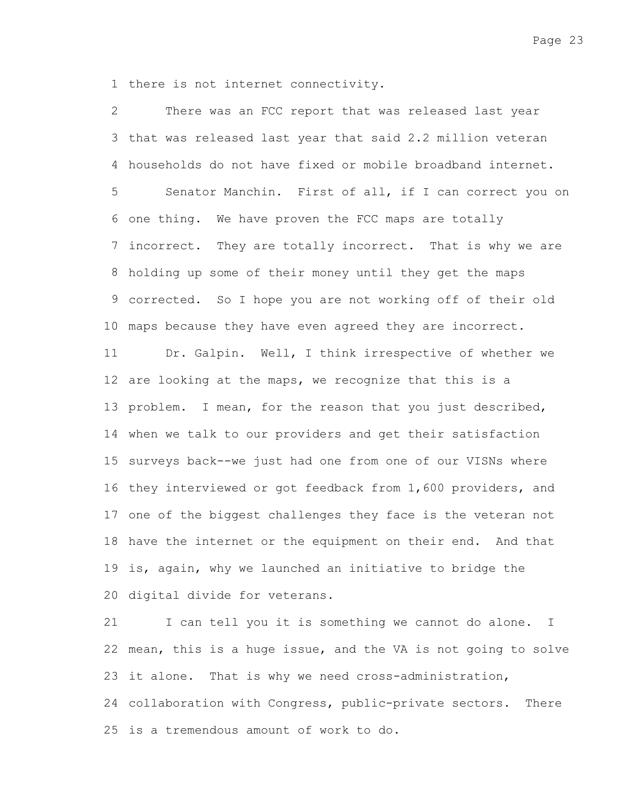1 there is not internet connectivity.

There was an FCC report that was released last year 3 that was released last year that said 2.2 million veteran households do not have fixed or mobile broadband internet. 4 Senator Manchin. First of all, if I can correct you on 6 one thing. We have proven the FCC maps are totally 7 incorrect. They are totally incorrect. That is why we are 8 holding up some of their money until they get the maps corrected. So I hope you are not working off of their old 9 10 maps because they have even agreed they are incorrect. Dr. Galpin. Well, I think irrespective of whether we 12 are looking at the maps, we recognize that this is a 13 problem. I mean, for the reason that you just described, 14 when we talk to our providers and get their satisfaction 15 surveys back--we just had one from one of our VISNs where 16 they interviewed or got feedback from 1,600 providers, and 17 one of the biggest challenges they face is the veteran not 18 have the internet or the equipment on their end. And that 19 is, again, why we launched an initiative to bridge the 20 digital divide for veterans. 2 5 11

I can tell you it is something we cannot do alone. I 22 mean, this is a huge issue, and the VA is not going to solve 23 it alone. That is why we need cross-administration, 24 collaboration with Congress, public-private sectors. There 25 is a tremendous amount of work to do. 21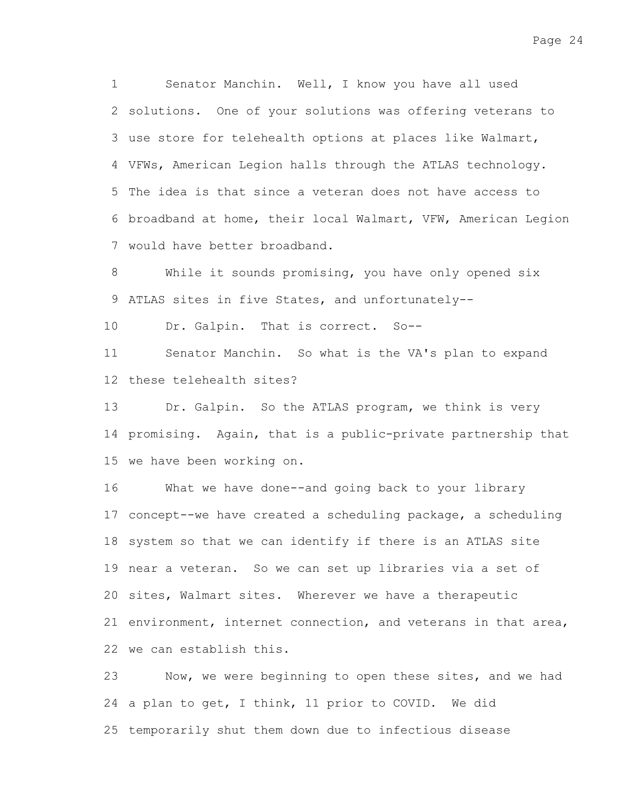Senator Manchin. Well, I know you have all used 2 solutions. One of your solutions was offering veterans to 3 use store for telehealth options at places like Walmart, VFWs, American Legion halls through the ATLAS technology. 4 5 The idea is that since a veteran does not have access to 6 broadband at home, their local Walmart, VFW, American Legion 7 would have better broadband. 1

While it sounds promising, you have only opened six 9 ATLAS sites in five States, and unfortunately--8

Dr. Galpin. That is correct. So-- 10

Senator Manchin. So what is the VA's plan to expand 12 these telehealth sites? 11

Dr. Galpin. So the ATLAS program, we think is very 14 promising. Again, that is a public-private partnership that 15 we have been working on. 13

What we have done--and going back to your library 17 concept--we have created a scheduling package, a scheduling 18 system so that we can identify if there is an ATLAS site 19 near a veteran. So we can set up libraries via a set of 20 sites, Walmart sites. Wherever we have a therapeutic 21 environment, internet connection, and veterans in that area, 22 we can establish this. 16

Now, we were beginning to open these sites, and we had 24 a plan to get, I think, 11 prior to COVID. We did 25 temporarily shut them down due to infectious disease 23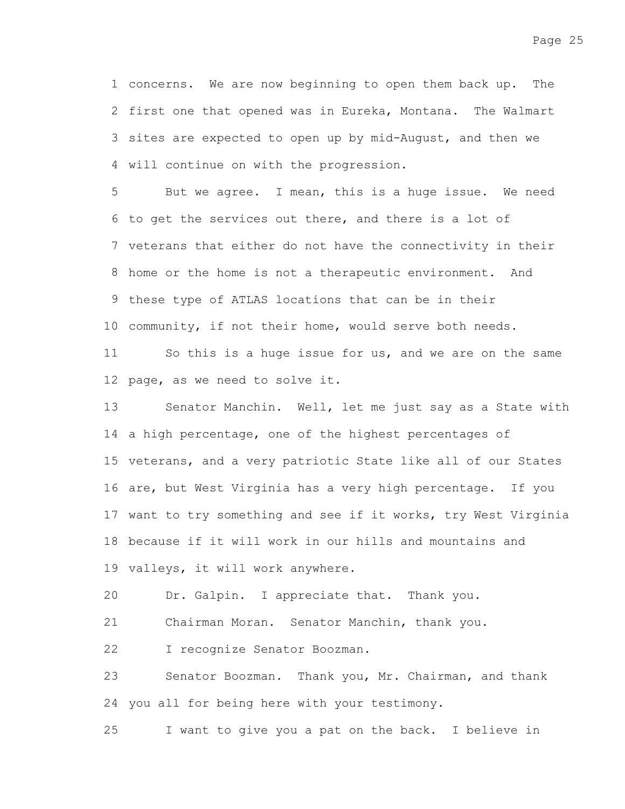1 concerns. We are now beginning to open them back up. The 2 first one that opened was in Eureka, Montana. The Walmart 3 sites are expected to open up by mid-August, and then we 4 will continue on with the progression.

But we agree. I mean, this is a huge issue. We need 6 to get the services out there, and there is a lot of 7 veterans that either do not have the connectivity in their 8 home or the home is not a therapeutic environment. And 9 these type of ATLAS locations that can be in their 10 community, if not their home, would serve both needs. 5

So this is a huge issue for us, and we are on the same 12 page, as we need to solve it. 11

Senator Manchin. Well, let me just say as a State with 14 a high percentage, one of the highest percentages of 15 veterans, and a very patriotic State like all of our States 16 are, but West Virginia has a very high percentage. If you 17 want to try something and see if it works, try West Virginia 18 because if it will work in our hills and mountains and 19 valleys, it will work anywhere. 13

Dr. Galpin. I appreciate that. Thank you. 20

Chairman Moran. Senator Manchin, thank you. 21

I recognize Senator Boozman. 22

Senator Boozman. Thank you, Mr. Chairman, and thank 24 you all for being here with your testimony. 23

I want to give you a pat on the back. I believe in 25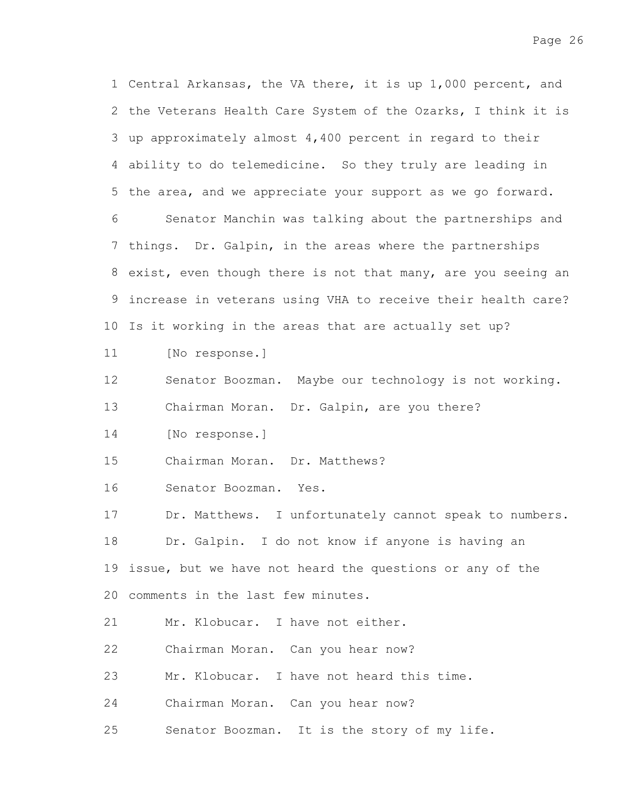1 Central Arkansas, the VA there, it is up 1,000 percent, and 2 the Veterans Health Care System of the Ozarks, I think it is 3 up approximately almost 4,400 percent in regard to their ability to do telemedicine. So they truly are leading in 4 5 the area, and we appreciate your support as we go forward. Senator Manchin was talking about the partnerships and 7 things. Dr. Galpin, in the areas where the partnerships 8 exist, even though there is not that many, are you seeing an increase in veterans using VHA to receive their health care? 9 10 Is it working in the areas that are actually set up? [No response.] Senator Boozman. Maybe our technology is not working. Chairman Moran. Dr. Galpin, are you there? [No response.] Chairman Moran. Dr. Matthews? Senator Boozman. Yes. Dr. Matthews. I unfortunately cannot speak to numbers. Dr. Galpin. I do not know if anyone is having an 19 issue, but we have not heard the questions or any of the comments in the last few minutes. Mr. Klobucar. I have not either. Chairman Moran. Can you hear now? Mr. Klobucar. I have not heard this time. Chairman Moran. Can you hear now? Senator Boozman. It is the story of my life. 6 11 12 13 14 15 16 17 18 20 21 22 23 24 25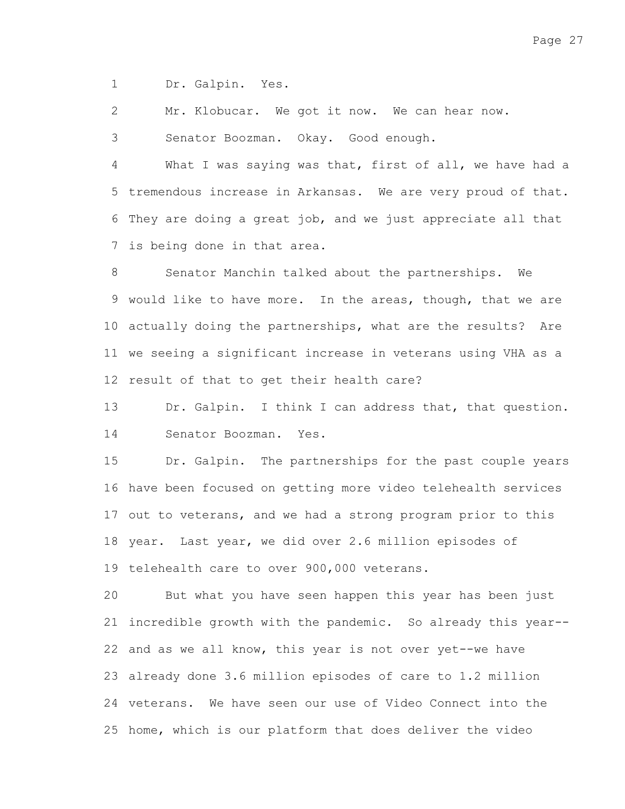Dr. Galpin. Yes. 1

Mr. Klobucar. We got it now. We can hear now. 2

Senator Boozman. Okay. Good enough. 3

What I was saying was that, first of all, we have had a 5 tremendous increase in Arkansas. We are very proud of that. 6 They are doing a great job, and we just appreciate all that 7 is being done in that area. 4

Senator Manchin talked about the partnerships. We 9 would like to have more. In the areas, though, that we are 10 actually doing the partnerships, what are the results? Are 11 we seeing a significant increase in veterans using VHA as a 12 result of that to get their health care? 8

Dr. Galpin. I think I can address that, that question. Senator Boozman. Yes. 13 14

Dr. Galpin. The partnerships for the past couple years 16 have been focused on getting more video telehealth services 17 out to veterans, and we had a strong program prior to this 18 year. Last year, we did over 2.6 million episodes of 19 telehealth care to over 900,000 veterans. 15

But what you have seen happen this year has been just 21 incredible growth with the pandemic. So already this year--22 and as we all know, this year is not over yet--we have already done 3.6 million episodes of care to 1.2 million 23 24 veterans. We have seen our use of Video Connect into the 25 home, which is our platform that does deliver the video 20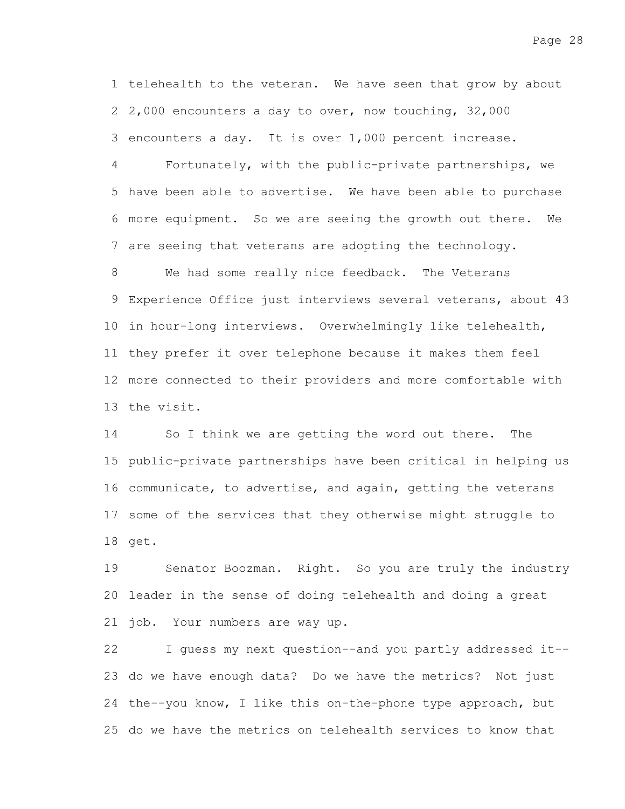1 telehealth to the veteran. We have seen that grow by about 2,000 encounters a day to over, now touching, 32,000 2 3 encounters a day. It is over 1,000 percent increase.

Fortunately, with the public-private partnerships, we 5 have been able to advertise. We have been able to purchase more equipment. So we are seeing the growth out there. We 6 7 are seeing that veterans are adopting the technology. 4

We had some really nice feedback. The Veterans Experience Office just interviews several veterans, about 43 9 10 in hour-long interviews. Overwhelmingly like telehealth, 11 they prefer it over telephone because it makes them feel 12 more connected to their providers and more comfortable with 13 the visit. 8

So I think we are getting the word out there. The 15 public-private partnerships have been critical in helping us 16 communicate, to advertise, and again, getting the veterans 17 some of the services that they otherwise might struggle to 18 get. 14

Senator Boozman. Right. So you are truly the industry 20 leader in the sense of doing telehealth and doing a great 21 job. Your numbers are way up. 19

I guess my next question--and you partly addressed it-- 23 do we have enough data? Do we have the metrics? Not just 24 the--you know, I like this on-the-phone type approach, but 25 do we have the metrics on telehealth services to know that 22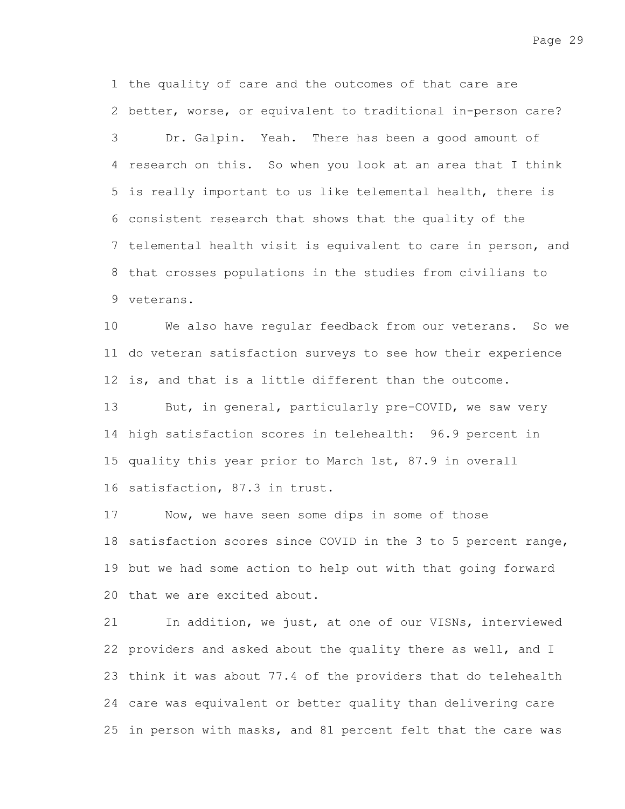1 the quality of care and the outcomes of that care are 2 better, worse, or equivalent to traditional in-person care? Dr. Galpin. Yeah. There has been a good amount of 4 research on this. So when you look at an area that I think 5 is really important to us like telemental health, there is 6 consistent research that shows that the quality of the 7 telemental health visit is equivalent to care in person, and 8 that crosses populations in the studies from civilians to 9 veterans. 3

We also have regular feedback from our veterans. So we 11 do veteran satisfaction surveys to see how their experience 12 is, and that is a little different than the outcome. 10

But, in general, particularly pre-COVID, we saw very 14 high satisfaction scores in telehealth: 96.9 percent in 15 quality this year prior to March 1st, 87.9 in overall 16 satisfaction, 87.3 in trust. 13

Now, we have seen some dips in some of those 18 satisfaction scores since COVID in the 3 to 5 percent range, 19 but we had some action to help out with that going forward 20 that we are excited about. 17

In addition, we just, at one of our VISNs, interviewed 22 providers and asked about the quality there as well, and I 23 think it was about 77.4 of the providers that do telehealth care was equivalent or better quality than delivering care 24 25 in person with masks, and 81 percent felt that the care was 21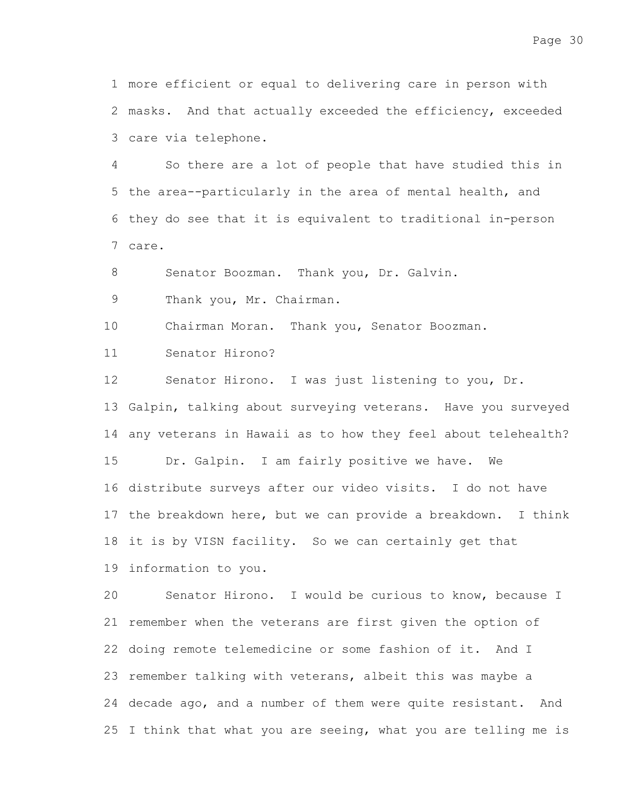more efficient or equal to delivering care in person with 1 2 masks. And that actually exceeded the efficiency, exceeded care via telephone. 3

So there are a lot of people that have studied this in 5 the area--particularly in the area of mental health, and 6 they do see that it is equivalent to traditional in-person care. 7 4

Senator Boozman. Thank you, Dr. Galvin. 8

Thank you, Mr. Chairman. 9

Chairman Moran. Thank you, Senator Boozman. 10

Senator Hirono? 11

Senator Hirono. I was just listening to you, Dr. 13 Galpin, talking about surveying veterans. Have you surveyed 14 any veterans in Hawaii as to how they feel about telehealth? Dr. Galpin. I am fairly positive we have. We 16 distribute surveys after our video visits. I do not have 17 the breakdown here, but we can provide a breakdown. I think 18 it is by VISN facility. So we can certainly get that 19 information to you. 12 15

Senator Hirono. I would be curious to know, because I 21 remember when the veterans are first given the option of 22 doing remote telemedicine or some fashion of it. And I 23 remember talking with veterans, albeit this was maybe a 24 decade ago, and a number of them were quite resistant. And 25 I think that what you are seeing, what you are telling me is 20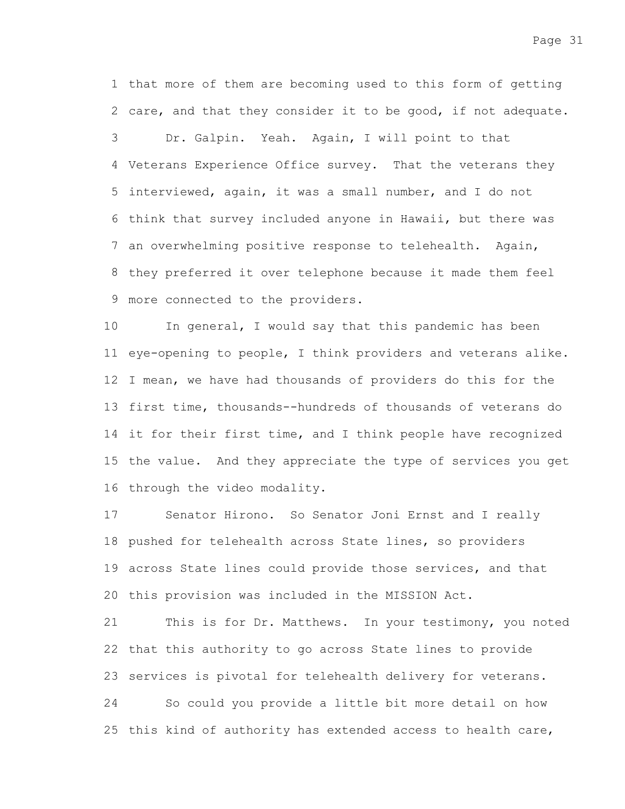1 that more of them are becoming used to this form of getting 2 care, and that they consider it to be good, if not adequate. Dr. Galpin. Yeah. Again, I will point to that Veterans Experience Office survey. That the veterans they 4 5 interviewed, again, it was a small number, and I do not 6 think that survey included anyone in Hawaii, but there was 7 an overwhelming positive response to telehealth. Again, 8 they preferred it over telephone because it made them feel more connected to the providers. 9 3

In general, I would say that this pandemic has been 11 eye-opening to people, I think providers and veterans alike. 12 I mean, we have had thousands of providers do this for the 13 first time, thousands--hundreds of thousands of veterans do 14 it for their first time, and I think people have recognized 15 the value. And they appreciate the type of services you get 16 through the video modality. 10

Senator Hirono. So Senator Joni Ernst and I really 18 pushed for telehealth across State lines, so providers 19 across State lines could provide those services, and that 20 this provision was included in the MISSION Act. 17

This is for Dr. Matthews. In your testimony, you noted 22 that this authority to go across State lines to provide 23 services is pivotal for telehealth delivery for veterans. 21

So could you provide a little bit more detail on how 25 this kind of authority has extended access to health care, 24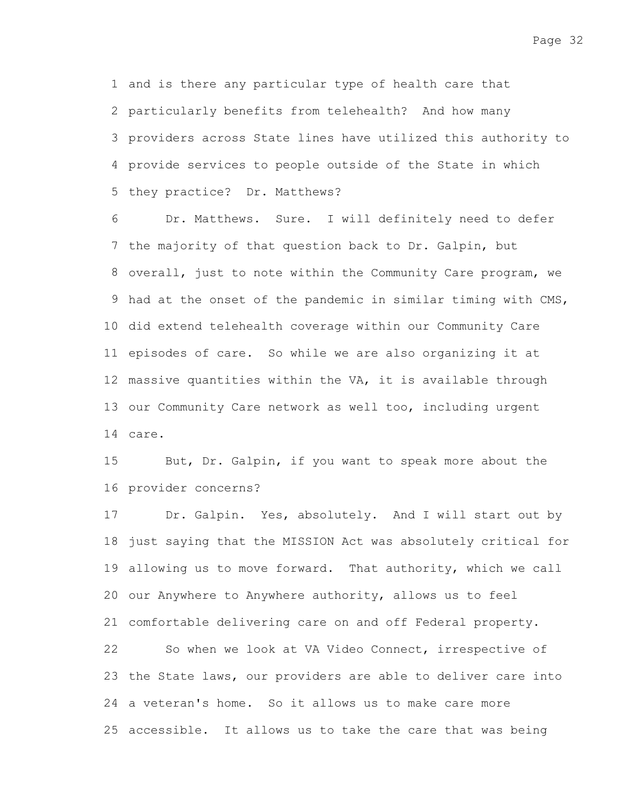1 and is there any particular type of health care that 2 particularly benefits from telehealth? And how many providers across State lines have utilized this authority to 3 provide services to people outside of the State in which 4 5 they practice? Dr. Matthews?

Dr. Matthews. Sure. I will definitely need to defer 7 the majority of that question back to Dr. Galpin, but 8 overall, just to note within the Community Care program, we 9 had at the onset of the pandemic in similar timing with CMS, 10 did extend telehealth coverage within our Community Care 11 episodes of care. So while we are also organizing it at 12 massive quantities within the VA, it is available through 13 our Community Care network as well too, including urgent care. 14 6

But, Dr. Galpin, if you want to speak more about the 16 provider concerns? 15

Dr. Galpin. Yes, absolutely. And I will start out by 18 just saying that the MISSION Act was absolutely critical for 19 allowing us to move forward. That authority, which we call 20 our Anywhere to Anywhere authority, allows us to feel 21 comfortable delivering care on and off Federal property. So when we look at VA Video Connect, irrespective of 23 the State laws, our providers are able to deliver care into 24 a veteran's home. So it allows us to make care more 25 accessible. It allows us to take the care that was being 17 22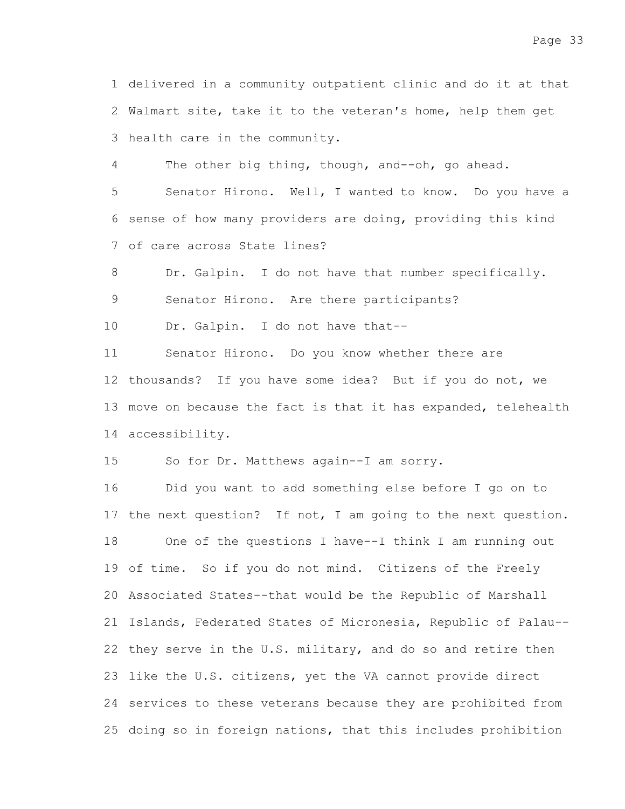1 delivered in a community outpatient clinic and do it at that 2 Walmart site, take it to the veteran's home, help them get 3 health care in the community.

The other big thing, though, and--oh, go ahead. 4

Senator Hirono. Well, I wanted to know. Do you have a 6 sense of how many providers are doing, providing this kind of care across State lines? 7 5

Dr. Galpin. I do not have that number specifically. 8

Senator Hirono. Are there participants? 9

Dr. Galpin. I do not have that-- 10

Senator Hirono. Do you know whether there are 12 thousands? If you have some idea? But if you do not, we 13 move on because the fact is that it has expanded, telehealth accessibility. 14 11

So for Dr. Matthews again--I am sorry. 15

Did you want to add something else before I go on to 17 the next question? If not, I am going to the next question. One of the questions I have--I think I am running out 19 of time. So if you do not mind. Citizens of the Freely Associated States--that would be the Republic of Marshall 20 21 Islands, Federated States of Micronesia, Republic of Palau--22 they serve in the U.S. military, and do so and retire then 23 like the U.S. citizens, yet the VA cannot provide direct 24 services to these veterans because they are prohibited from 25 doing so in foreign nations, that this includes prohibition 16 18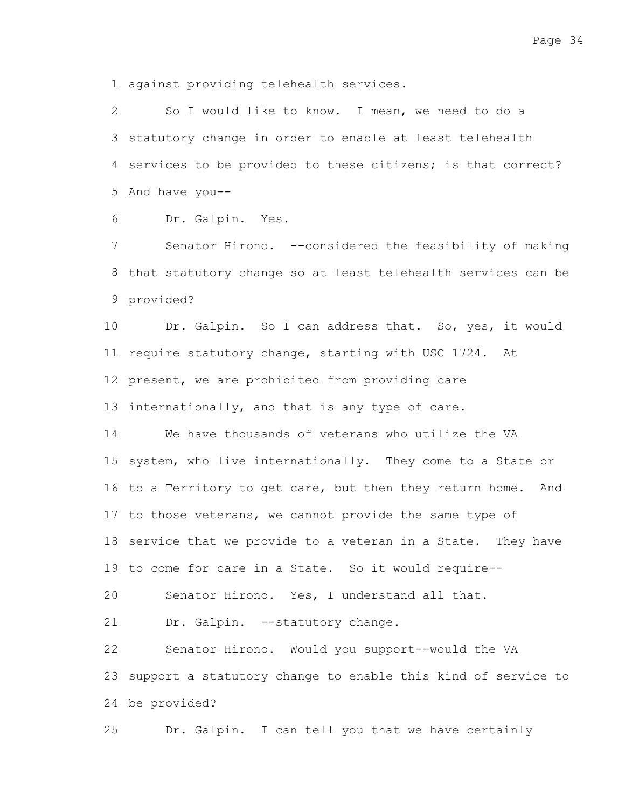against providing telehealth services. 1

So I would like to know. I mean, we need to do a 3 statutory change in order to enable at least telehealth 4 services to be provided to these citizens; is that correct? 5 And have you--2

Dr. Galpin. Yes. 6

Senator Hirono. --considered the feasibility of making 8 that statutory change so at least telehealth services can be 9 provided? 7

Dr. Galpin. So I can address that. So, yes, it would 11 require statutory change, starting with USC 1724. At 12 present, we are prohibited from providing care 13 internationally, and that is any type of care. 10

We have thousands of veterans who utilize the VA 15 system, who live internationally. They come to a State or 16 to a Territory to get care, but then they return home. And 17 to those veterans, we cannot provide the same type of 18 service that we provide to a veteran in a State. They have 19 to come for care in a State. So it would require--14

Senator Hirono. Yes, I understand all that. 20

Dr. Galpin. --statutory change. 21

Senator Hirono. Would you support--would the VA 23 support a statutory change to enable this kind of service to be provided? 24 22

Dr. Galpin. I can tell you that we have certainly 25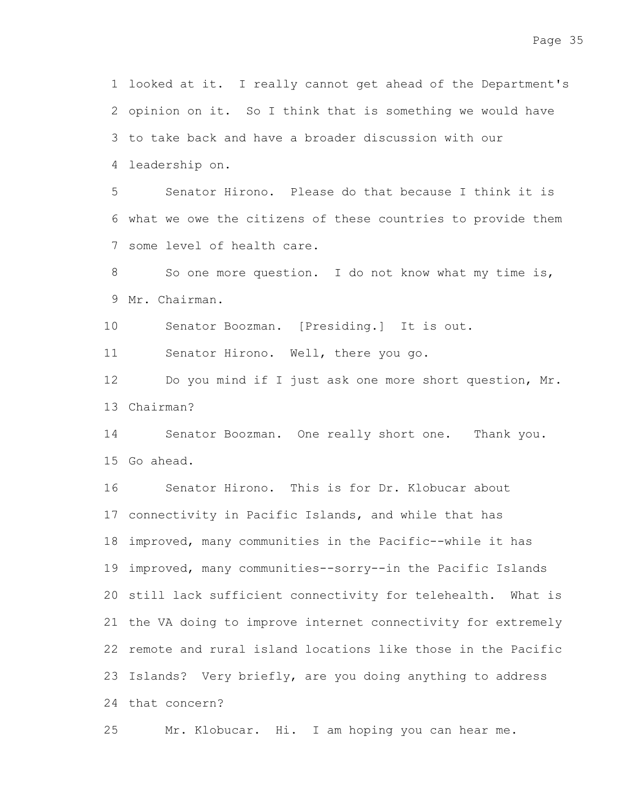1 looked at it. I really cannot get ahead of the Department's 2 opinion on it. So I think that is something we would have 3 to take back and have a broader discussion with our leadership on. 4

Senator Hirono. Please do that because I think it is 6 what we owe the citizens of these countries to provide them 7 some level of health care. 5

So one more question. I do not know what my time is, 9 Mr. Chairman. 8

Senator Boozman. [Presiding.] It is out. 10

Senator Hirono. Well, there you go. 11

Do you mind if I just ask one more short question, Mr. 13 Chairman? 12

Senator Boozman. One really short one. Thank you. 15 Go ahead. 14

Senator Hirono. This is for Dr. Klobucar about 17 connectivity in Pacific Islands, and while that has 18 improved, many communities in the Pacific--while it has 19 improved, many communities--sorry--in the Pacific Islands 20 still lack sufficient connectivity for telehealth. What is 21 the VA doing to improve internet connectivity for extremely 22 remote and rural island locations like those in the Pacific 23 Islands? Very briefly, are you doing anything to address 24 that concern? 16

Mr. Klobucar. Hi. I am hoping you can hear me. 25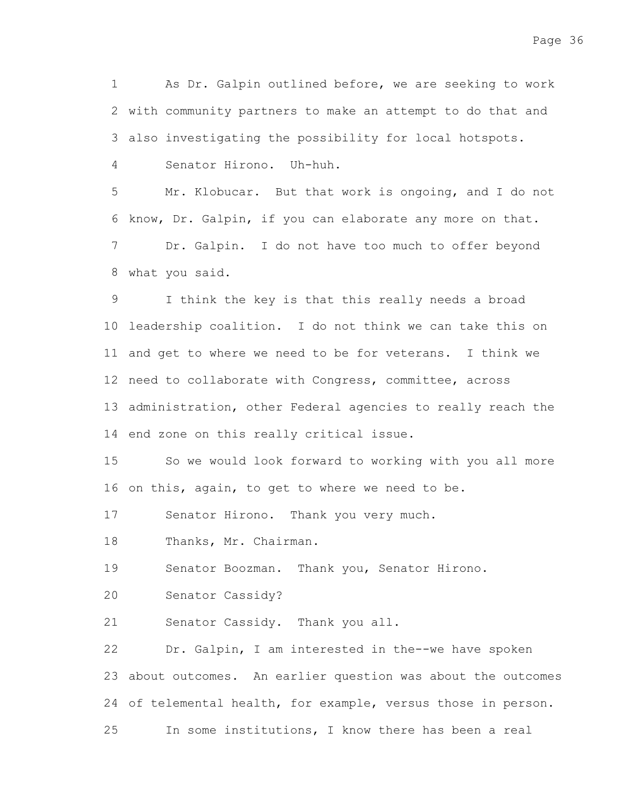As Dr. Galpin outlined before, we are seeking to work 2 with community partners to make an attempt to do that and also investigating the possibility for local hotspots. 3 1

Senator Hirono. Uh-huh. 4

Mr. Klobucar. But that work is ongoing, and I do not 6 know, Dr. Galpin, if you can elaborate any more on that. Dr. Galpin. I do not have too much to offer beyond what you said. 8 5 7

I think the key is that this really needs a broad 10 leadership coalition. I do not think we can take this on 11 and get to where we need to be for veterans. I think we 12 need to collaborate with Congress, committee, across 13 administration, other Federal agencies to really reach the 14 end zone on this really critical issue. 9

So we would look forward to working with you all more 16 on this, again, to get to where we need to be. 15

Senator Hirono. Thank you very much. 17

Thanks, Mr. Chairman. 18

Senator Boozman. Thank you, Senator Hirono. 19

Senator Cassidy? 20

Senator Cassidy. Thank you all. 21

Dr. Galpin, I am interested in the--we have spoken 23 about outcomes. An earlier question was about the outcomes 24 of telemental health, for example, versus those in person. In some institutions, I know there has been a real 22 25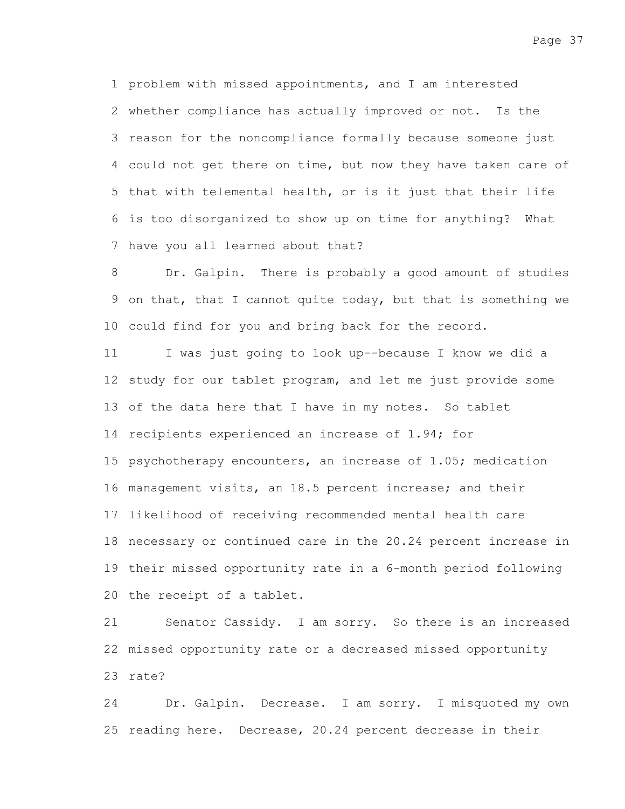problem with missed appointments, and I am interested 1 2 whether compliance has actually improved or not. Is the 3 reason for the noncompliance formally because someone just 4 could not get there on time, but now they have taken care of 5 that with telemental health, or is it just that their life is too disorganized to show up on time for anything? What 6 7 have you all learned about that?

Dr. Galpin. There is probably a good amount of studies 9 on that, that I cannot quite today, but that is something we 10 could find for you and bring back for the record. 8

I was just going to look up--because I know we did a 12 study for our tablet program, and let me just provide some 13 of the data here that I have in my notes. So tablet 14 recipients experienced an increase of 1.94; for 15 psychotherapy encounters, an increase of 1.05; medication 16 management visits, an 18.5 percent increase; and their 17 likelihood of receiving recommended mental health care 18 necessary or continued care in the 20.24 percent increase in 19 their missed opportunity rate in a 6-month period following 20 the receipt of a tablet. 11

Senator Cassidy. I am sorry. So there is an increased 22 missed opportunity rate or a decreased missed opportunity 23 rate? 21

Dr. Galpin. Decrease. I am sorry. I misquoted my own 25 reading here. Decrease, 20.24 percent decrease in their 24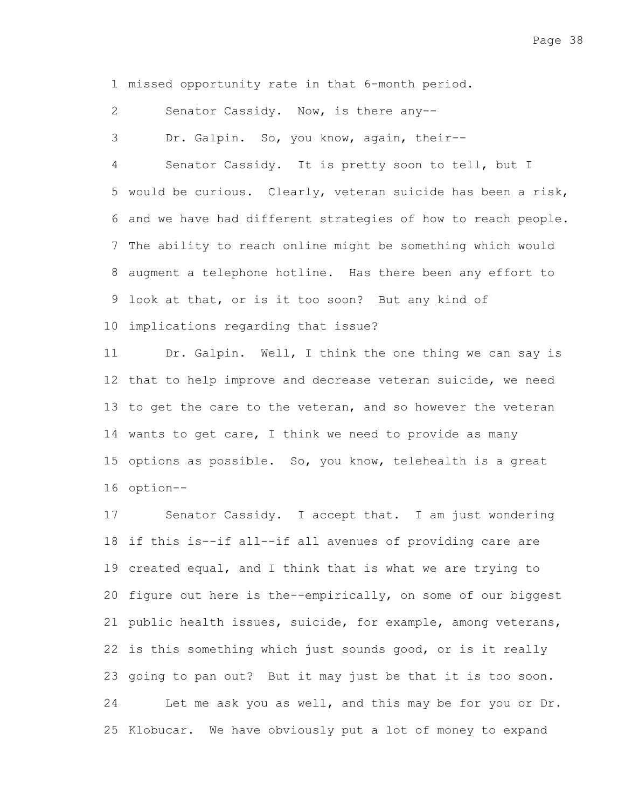1 missed opportunity rate in that 6-month period.

Senator Cassidy. Now, is there any-- 2

Dr. Galpin. So, you know, again, their-- 3

Senator Cassidy. It is pretty soon to tell, but I 5 would be curious. Clearly, veteran suicide has been a risk, 6 and we have had different strategies of how to reach people. 7 The ability to reach online might be something which would 8 augment a telephone hotline. Has there been any effort to 9 look at that, or is it too soon? But any kind of 10 implications regarding that issue? 4

Dr. Galpin. Well, I think the one thing we can say is 12 that to help improve and decrease veteran suicide, we need 13 to get the care to the veteran, and so however the veteran 14 wants to get care, I think we need to provide as many 15 options as possible. So, you know, telehealth is a great 16 option--11

Senator Cassidy. I accept that. I am just wondering 18 if this is--if all--if all avenues of providing care are 19 created equal, and I think that is what we are trying to 20 figure out here is the--empirically, on some of our biggest 21 public health issues, suicide, for example, among veterans, 22 is this something which just sounds good, or is it really 23 going to pan out? But it may just be that it is too soon. Let me ask you as well, and this may be for you or Dr. 25 Klobucar. We have obviously put a lot of money to expand 17 24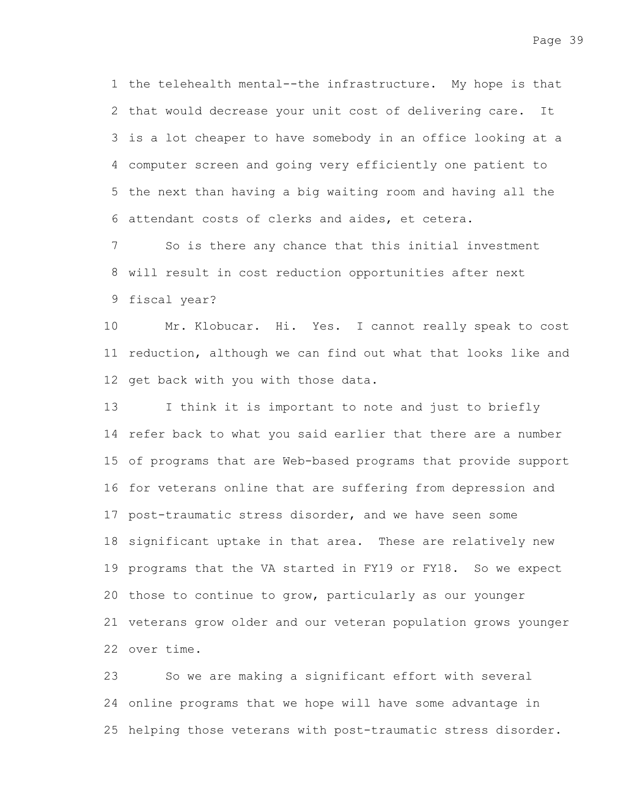1 the telehealth mental--the infrastructure. My hope is that 2 that would decrease your unit cost of delivering care. It 3 is a lot cheaper to have somebody in an office looking at a computer screen and going very efficiently one patient to 4 5 the next than having a big waiting room and having all the attendant costs of clerks and aides, et cetera. 6

So is there any chance that this initial investment 8 will result in cost reduction opportunities after next fiscal year? 9 7

Mr. Klobucar. Hi. Yes. I cannot really speak to cost 11 reduction, although we can find out what that looks like and 12 get back with you with those data. 10

I think it is important to note and just to briefly 14 refer back to what you said earlier that there are a number 15 of programs that are Web-based programs that provide support 16 for veterans online that are suffering from depression and 17 post-traumatic stress disorder, and we have seen some 18 significant uptake in that area. These are relatively new 19 programs that the VA started in FY19 or FY18. So we expect 20 those to continue to grow, particularly as our younger 21 veterans grow older and our veteran population grows younger 22 over time. 13

So we are making a significant effort with several 24 online programs that we hope will have some advantage in 25 helping those veterans with post-traumatic stress disorder. 23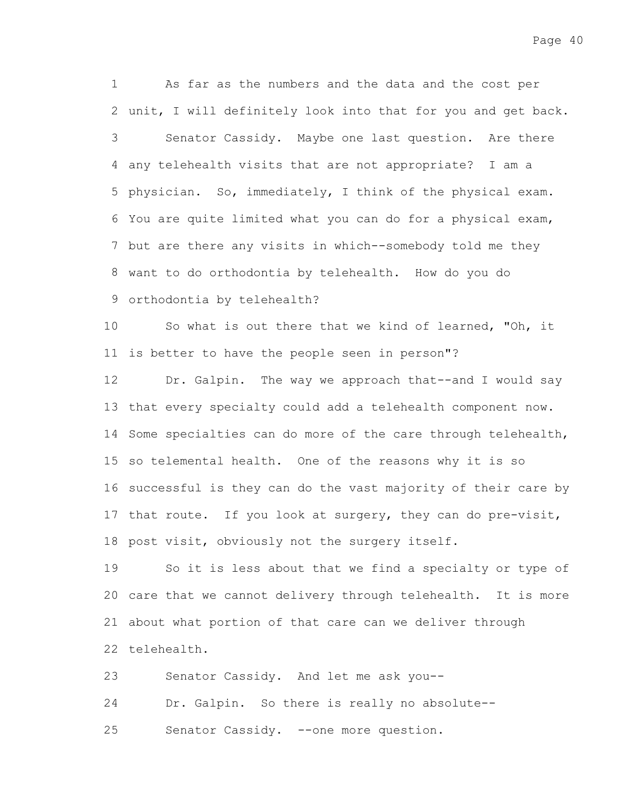As far as the numbers and the data and the cost per 2 unit, I will definitely look into that for you and get back. Senator Cassidy. Maybe one last question. Are there any telehealth visits that are not appropriate? I am a 4 5 physician. So, immediately, I think of the physical exam. You are quite limited what you can do for a physical exam, 6 7 but are there any visits in which--somebody told me they want to do orthodontia by telehealth. How do you do 8 9 orthodontia by telehealth? 1 3

So what is out there that we kind of learned, "Oh, it 11 is better to have the people seen in person"? 10

Dr. Galpin. The way we approach that--and I would say 13 that every specialty could add a telehealth component now. 14 Some specialties can do more of the care through telehealth, 15 so telemental health. One of the reasons why it is so 16 successful is they can do the vast majority of their care by 17 that route. If you look at surgery, they can do pre-visit, 18 post visit, obviously not the surgery itself. 12

So it is less about that we find a specialty or type of 20 care that we cannot delivery through telehealth. It is more 21 about what portion of that care can we deliver through 22 telehealth. 19

Senator Cassidy. And let me ask you-- Dr. Galpin. So there is really no absolute-- Senator Cassidy. --one more question. 23 24 25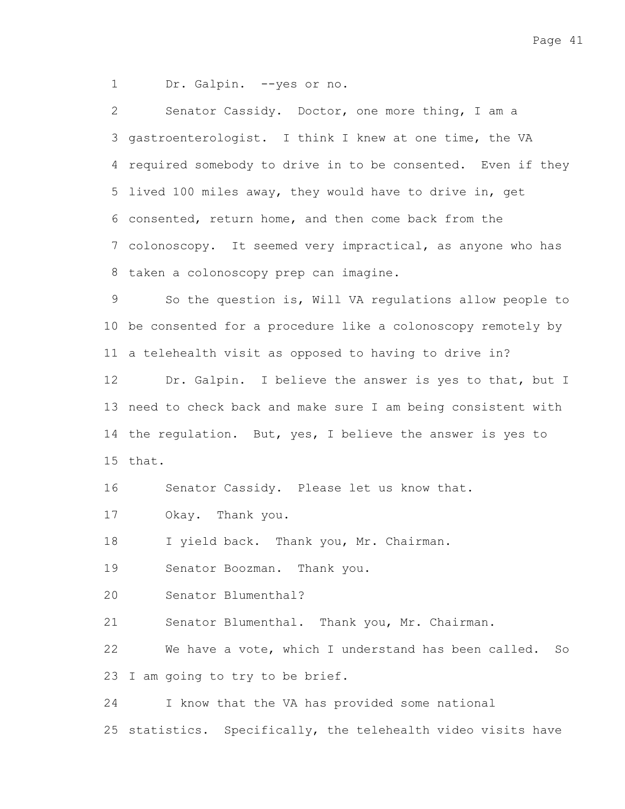Page 41

Dr. Galpin. --yes or no. 1

Senator Cassidy. Doctor, one more thing, I am a 3 gastroenterologist. I think I knew at one time, the VA 4 required somebody to drive in to be consented. Even if they 5 lived 100 miles away, they would have to drive in, get 6 consented, return home, and then come back from the 7 colonoscopy. It seemed very impractical, as anyone who has 8 taken a colonoscopy prep can imagine. 2

So the question is, Will VA regulations allow people to 10 be consented for a procedure like a colonoscopy remotely by 11 a telehealth visit as opposed to having to drive in? 9

Dr. Galpin. I believe the answer is yes to that, but I 13 need to check back and make sure I am being consistent with 14 the regulation. But, yes, I believe the answer is yes to 15 that. 12

Senator Cassidy. Please let us know that. 16

Okay. Thank you. 17

I yield back. Thank you, Mr. Chairman. 18

Senator Boozman. Thank you. 19

Senator Blumenthal? 20

Senator Blumenthal. Thank you, Mr. Chairman. 21

We have a vote, which I understand has been called. So 23 I am going to try to be brief. 22

I know that the VA has provided some national 24

25 statistics. Specifically, the telehealth video visits have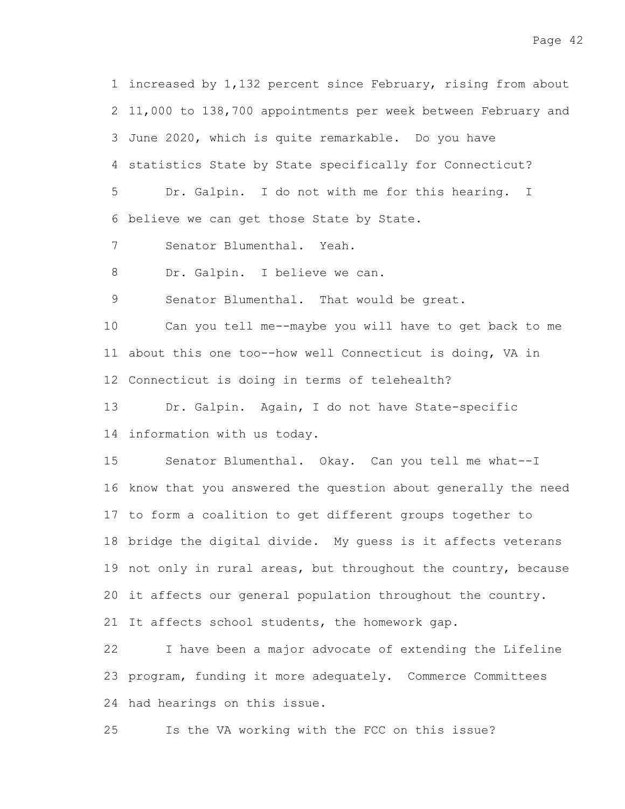1 increased by 1,132 percent since February, rising from about 2 11,000 to 138,700 appointments per week between February and 3 June 2020, which is quite remarkable. Do you have 4 statistics State by State specifically for Connecticut?

Dr. Galpin. I do not with me for this hearing. I 6 believe we can get those State by State. 5

Senator Blumenthal. Yeah. 7

Dr. Galpin. I believe we can. 8

Senator Blumenthal. That would be great. 9

Can you tell me--maybe you will have to get back to me 11 about this one too--how well Connecticut is doing, VA in 12 Connecticut is doing in terms of telehealth? 10

Dr. Galpin. Again, I do not have State-specific 14 information with us today. 13

Senator Blumenthal. Okay. Can you tell me what--I 16 know that you answered the question about generally the need 17 to form a coalition to get different groups together to 18 bridge the digital divide. My guess is it affects veterans 19 not only in rural areas, but throughout the country, because 20 it affects our general population throughout the country. 21 It affects school students, the homework gap. 15

I have been a major advocate of extending the Lifeline 23 program, funding it more adequately. Commerce Committees 24 had hearings on this issue. 22

Is the VA working with the FCC on this issue? 25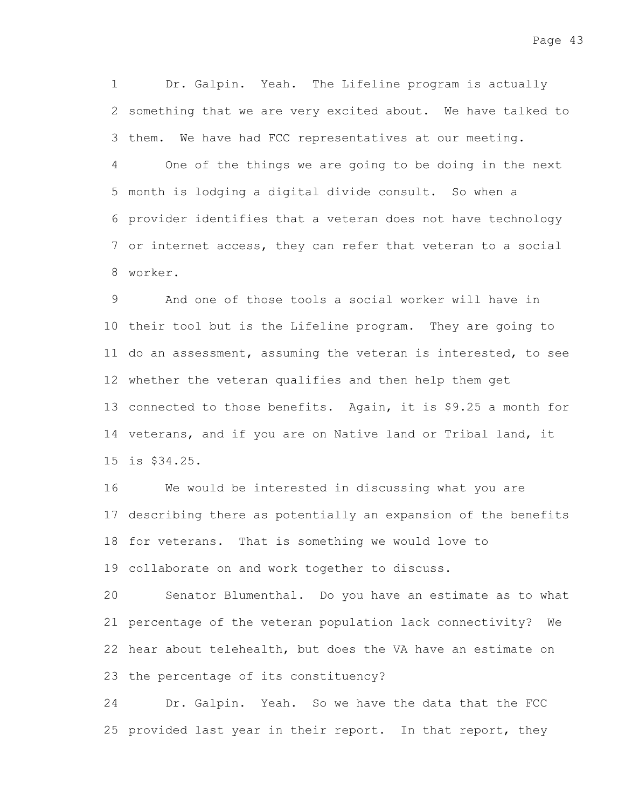Dr. Galpin. Yeah. The Lifeline program is actually 2 something that we are very excited about. We have talked to 3 them. We have had FCC representatives at our meeting. 1

One of the things we are going to be doing in the next 5 month is lodging a digital divide consult. So when a provider identifies that a veteran does not have technology 6 7 or internet access, they can refer that veteran to a social worker. 8 4

And one of those tools a social worker will have in 10 their tool but is the Lifeline program. They are going to 11 do an assessment, assuming the veteran is interested, to see 12 whether the veteran qualifies and then help them get 13 connected to those benefits. Again, it is \$9.25 a month for 14 veterans, and if you are on Native land or Tribal land, it is \$34.25. 15 9

We would be interested in discussing what you are 17 describing there as potentially an expansion of the benefits 18 for veterans. That is something we would love to 19 collaborate on and work together to discuss. 16

Senator Blumenthal. Do you have an estimate as to what 21 percentage of the veteran population lack connectivity? We 22 hear about telehealth, but does the VA have an estimate on 23 the percentage of its constituency? 20

Dr. Galpin. Yeah. So we have the data that the FCC 25 provided last year in their report. In that report, they 24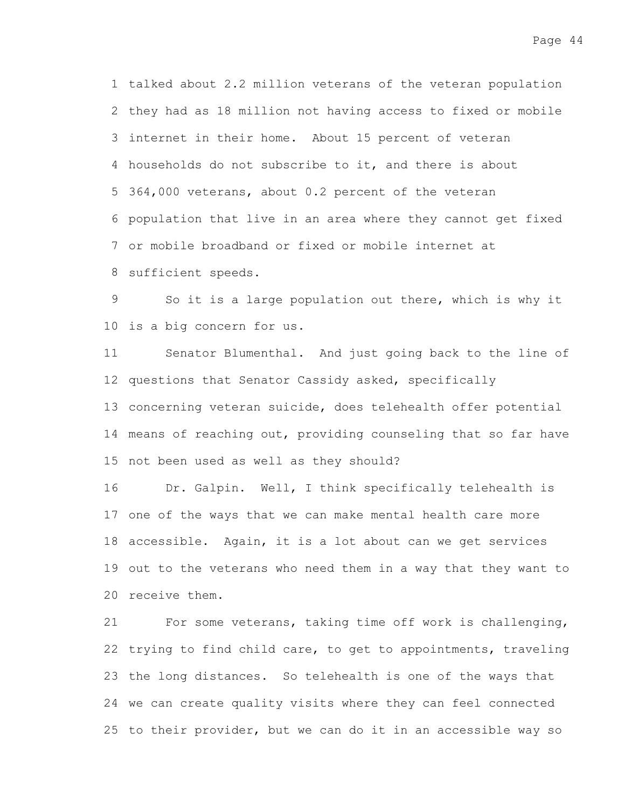1 talked about 2.2 million veterans of the veteran population 2 they had as 18 million not having access to fixed or mobile 3 internet in their home. About 15 percent of veteran 4 households do not subscribe to it, and there is about 364,000 veterans, about 0.2 percent of the veteran 5 6 population that live in an area where they cannot get fixed or mobile broadband or fixed or mobile internet at 7 8 sufficient speeds.

So it is a large population out there, which is why it 10 is a big concern for us. 9

Senator Blumenthal. And just going back to the line of 12 questions that Senator Cassidy asked, specifically 13 concerning veteran suicide, does telehealth offer potential 14 means of reaching out, providing counseling that so far have 15 not been used as well as they should? 11

Dr. Galpin. Well, I think specifically telehealth is 17 one of the ways that we can make mental health care more 18 accessible. Again, it is a lot about can we get services 19 out to the veterans who need them in a way that they want to 20 receive them. 16

For some veterans, taking time off work is challenging, 22 trying to find child care, to get to appointments, traveling 23 the long distances. So telehealth is one of the ways that 24 we can create quality visits where they can feel connected 25 to their provider, but we can do it in an accessible way so 21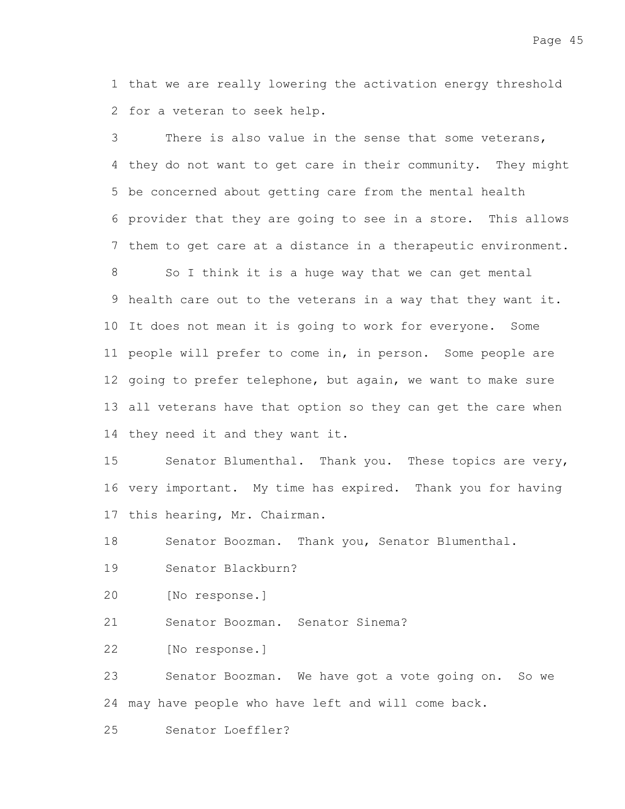1 that we are really lowering the activation energy threshold 2 for a veteran to seek help.

There is also value in the sense that some veterans, 4 they do not want to get care in their community. They might 5 be concerned about getting care from the mental health provider that they are going to see in a store. This allows 6 7 them to get care at a distance in a therapeutic environment. 3

So I think it is a huge way that we can get mental 9 health care out to the veterans in a way that they want it. 10 It does not mean it is going to work for everyone. Some 11 people will prefer to come in, in person. Some people are 12 going to prefer telephone, but again, we want to make sure all veterans have that option so they can get the care when 13 14 they need it and they want it. 8

Senator Blumenthal. Thank you. These topics are very, 16 very important. My time has expired. Thank you for having 17 this hearing, Mr. Chairman. 15

Senator Boozman. Thank you, Senator Blumenthal. 18

Senator Blackburn? 19

[No response.] 20

Senator Boozman. Senator Sinema? 21

[No response.] 22

Senator Boozman. We have got a vote going on. So we 24 may have people who have left and will come back. 23

Senator Loeffler? 25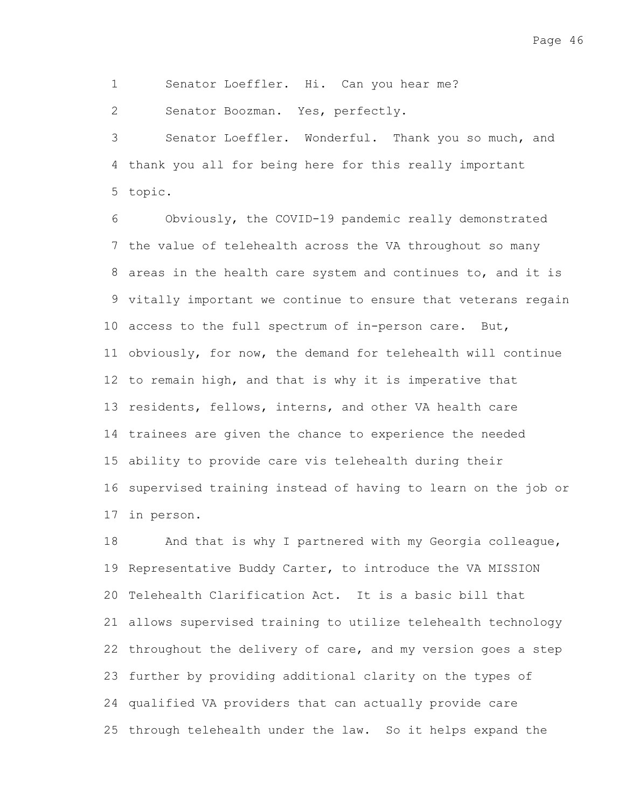Senator Loeffler. Hi. Can you hear me? 1

Senator Boozman. Yes, perfectly. 2

Senator Loeffler. Wonderful. Thank you so much, and 4 thank you all for being here for this really important topic. 5 3

Obviously, the COVID-19 pandemic really demonstrated 7 the value of telehealth across the VA throughout so many 8 areas in the health care system and continues to, and it is 9 vitally important we continue to ensure that veterans regain 10 access to the full spectrum of in-person care. But, 11 obviously, for now, the demand for telehealth will continue 12 to remain high, and that is why it is imperative that 13 residents, fellows, interns, and other VA health care 14 trainees are given the chance to experience the needed ability to provide care vis telehealth during their 15 16 supervised training instead of having to learn on the job or 17 in person. 6

And that is why I partnered with my Georgia colleague, 19 Representative Buddy Carter, to introduce the VA MISSION 20 Telehealth Clarification Act. It is a basic bill that allows supervised training to utilize telehealth technology 21 22 throughout the delivery of care, and my version goes a step 23 further by providing additional clarity on the types of qualified VA providers that can actually provide care 24 25 through telehealth under the law. So it helps expand the 18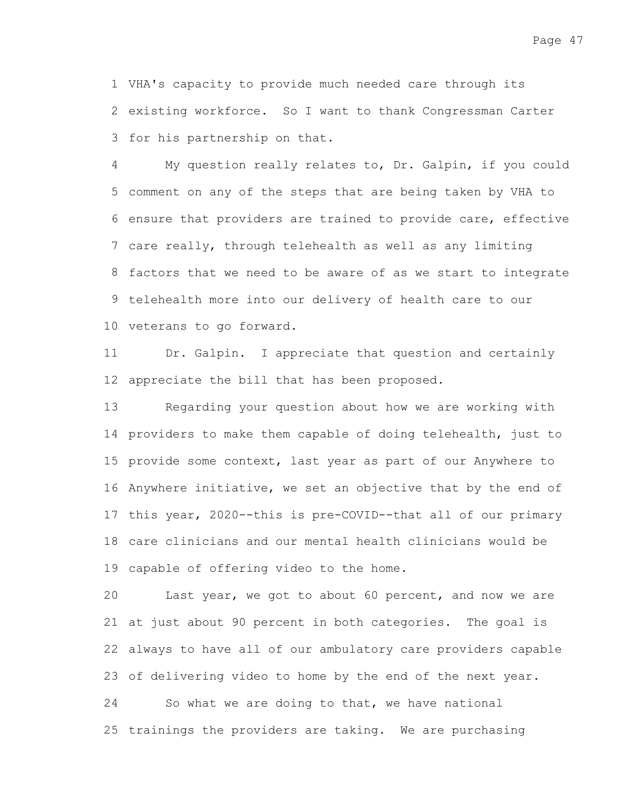VHA's capacity to provide much needed care through its 1 2 existing workforce. So I want to thank Congressman Carter 3 for his partnership on that.

My question really relates to, Dr. Galpin, if you could 5 comment on any of the steps that are being taken by VHA to 6 ensure that providers are trained to provide care, effective 7 care really, through telehealth as well as any limiting 8 factors that we need to be aware of as we start to integrate 9 telehealth more into our delivery of health care to our 10 veterans to go forward. 4

Dr. Galpin. I appreciate that question and certainly 12 appreciate the bill that has been proposed. 11

Regarding your question about how we are working with 14 providers to make them capable of doing telehealth, just to 15 provide some context, last year as part of our Anywhere to 16 Anywhere initiative, we set an objective that by the end of 17 this year, 2020--this is pre-COVID--that all of our primary care clinicians and our mental health clinicians would be 18 19 capable of offering video to the home. 13

Last year, we got to about 60 percent, and now we are 21 at just about 90 percent in both categories. The goal is always to have all of our ambulatory care providers capable 22 23 of delivering video to home by the end of the next year. 20

So what we are doing to that, we have national 25 trainings the providers are taking. We are purchasing 24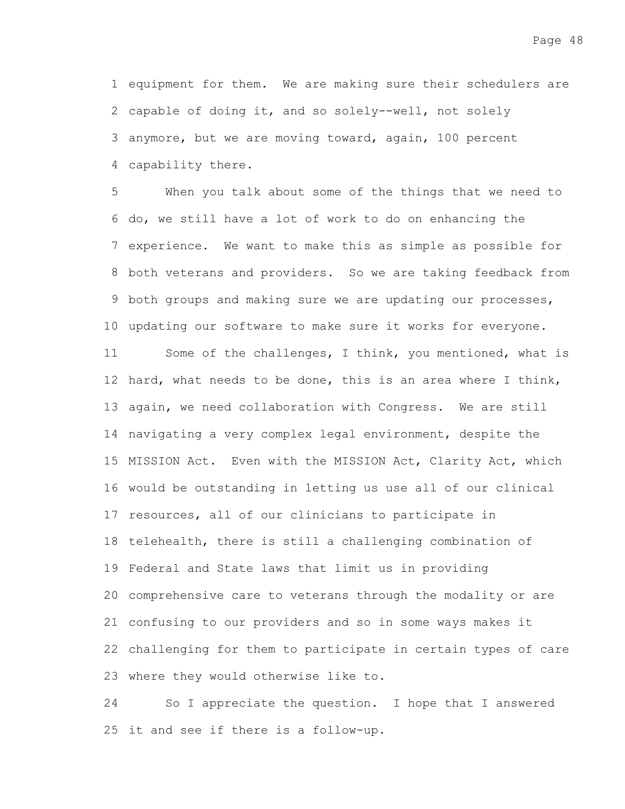1 equipment for them. We are making sure their schedulers are 2 capable of doing it, and so solely--well, not solely 3 anymore, but we are moving toward, again, 100 percent capability there. 4

When you talk about some of the things that we need to 6 do, we still have a lot of work to do on enhancing the 7 experience. We want to make this as simple as possible for 8 both veterans and providers. So we are taking feedback from 9 both groups and making sure we are updating our processes, 10 updating our software to make sure it works for everyone. 5

Some of the challenges, I think, you mentioned, what is 12 hard, what needs to be done, this is an area where I think, 13 again, we need collaboration with Congress. We are still 14 navigating a very complex legal environment, despite the 15 MISSION Act. Even with the MISSION Act, Clarity Act, which 16 would be outstanding in letting us use all of our clinical 17 resources, all of our clinicians to participate in 18 telehealth, there is still a challenging combination of 19 Federal and State laws that limit us in providing 20 comprehensive care to veterans through the modality or are 21 confusing to our providers and so in some ways makes it 22 challenging for them to participate in certain types of care 23 where they would otherwise like to. 11

So I appreciate the question. I hope that I answered 25 it and see if there is a follow-up. 24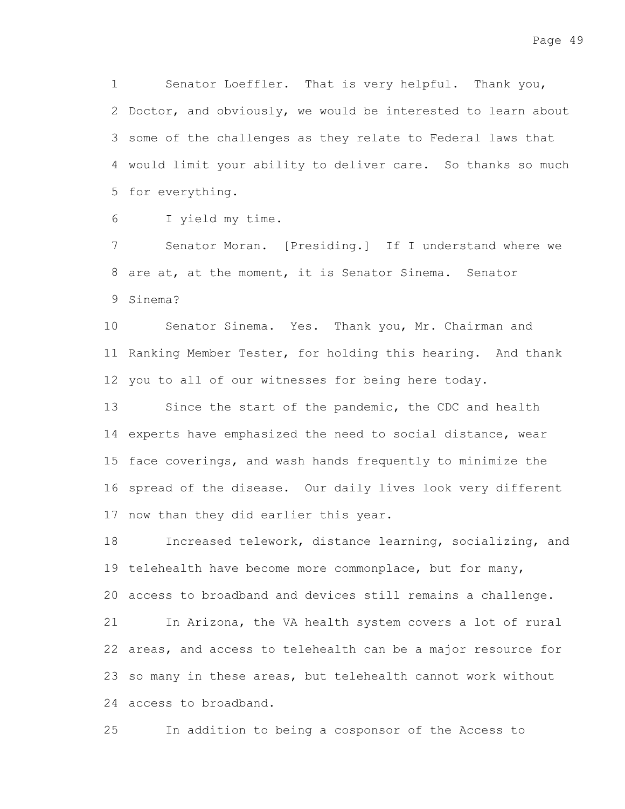Senator Loeffler. That is very helpful. Thank you, 2 Doctor, and obviously, we would be interested to learn about 3 some of the challenges as they relate to Federal laws that 4 would limit your ability to deliver care. So thanks so much 5 for everything. 1

I yield my time. 6

Senator Moran. [Presiding.] If I understand where we 8 are at, at the moment, it is Senator Sinema. Senator 9 Sinema? 7

Senator Sinema. Yes. Thank you, Mr. Chairman and 11 Ranking Member Tester, for holding this hearing. And thank 12 you to all of our witnesses for being here today. 10

Since the start of the pandemic, the CDC and health 14 experts have emphasized the need to social distance, wear 15 face coverings, and wash hands frequently to minimize the 16 spread of the disease. Our daily lives look very different 17 now than they did earlier this year. 13

Increased telework, distance learning, socializing, and 19 telehealth have become more commonplace, but for many, access to broadband and devices still remains a challenge. 20 In Arizona, the VA health system covers a lot of rural 22 areas, and access to telehealth can be a major resource for 23 so many in these areas, but telehealth cannot work without 24 access to broadband. 18 21

In addition to being a cosponsor of the Access to 25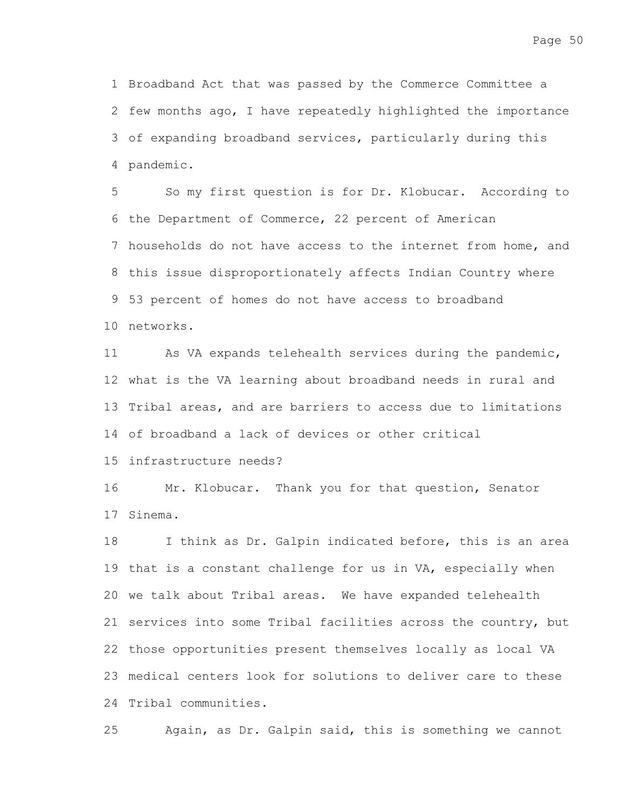1 Broadband Act that was passed by the Commerce Committee a 2 few months ago, I have repeatedly highlighted the importance 3 of expanding broadband services, particularly during this pandemic. 4

So my first question is for Dr. Klobucar. According to 6 the Department of Commerce, 22 percent of American 7 households do not have access to the internet from home, and 8 this issue disproportionately affects Indian Country where 53 percent of homes do not have access to broadband 9 10 networks. 5

As VA expands telehealth services during the pandemic, 12 what is the VA learning about broadband needs in rural and 13 Tribal areas, and are barriers to access due to limitations 14 of broadband a lack of devices or other critical 11

15 infrastructure needs?

Mr. Klobucar. Thank you for that question, Senator 17 Sinema. 16

I think as Dr. Galpin indicated before, this is an area 19 that is a constant challenge for us in VA, especially when 20 we talk about Tribal areas. We have expanded telehealth 21 services into some Tribal facilities across the country, but 22 those opportunities present themselves locally as local VA medical centers look for solutions to deliver care to these 23 24 Tribal communities. 18

Again, as Dr. Galpin said, this is something we cannot 25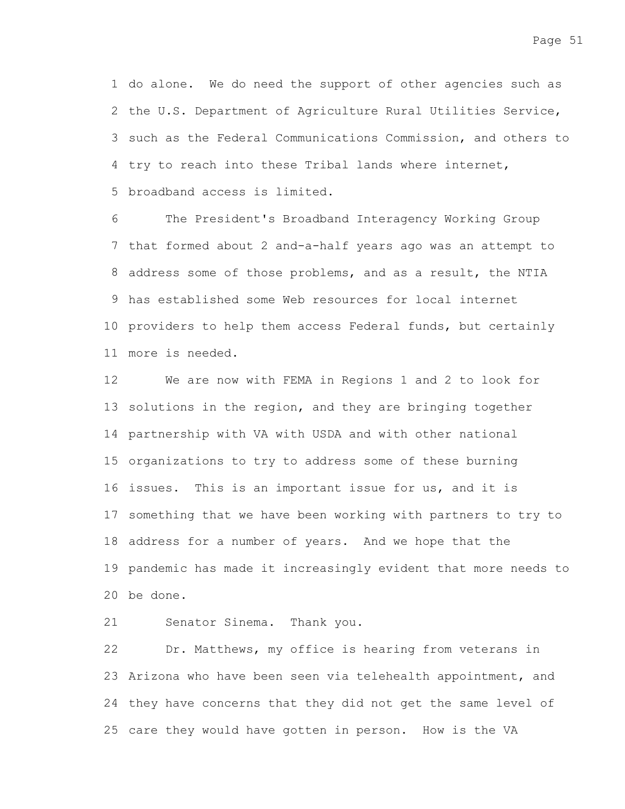1 do alone. We do need the support of other agencies such as 2 the U.S. Department of Agriculture Rural Utilities Service, 3 such as the Federal Communications Commission, and others to 4 try to reach into these Tribal lands where internet, 5 broadband access is limited.

The President's Broadband Interagency Working Group 7 that formed about 2 and-a-half years ago was an attempt to 8 address some of those problems, and as a result, the NTIA has established some Web resources for local internet 9 10 providers to help them access Federal funds, but certainly more is needed. 11 6

We are now with FEMA in Regions 1 and 2 to look for 13 solutions in the region, and they are bringing together 14 partnership with VA with USDA and with other national 15 organizations to try to address some of these burning 16 issues. This is an important issue for us, and it is 17 something that we have been working with partners to try to 18 address for a number of years. And we hope that the 19 pandemic has made it increasingly evident that more needs to be done. 20 12

Senator Sinema. Thank you. 21

Dr. Matthews, my office is hearing from veterans in 23 Arizona who have been seen via telehealth appointment, and 24 they have concerns that they did not get the same level of 25 care they would have gotten in person. How is the VA 22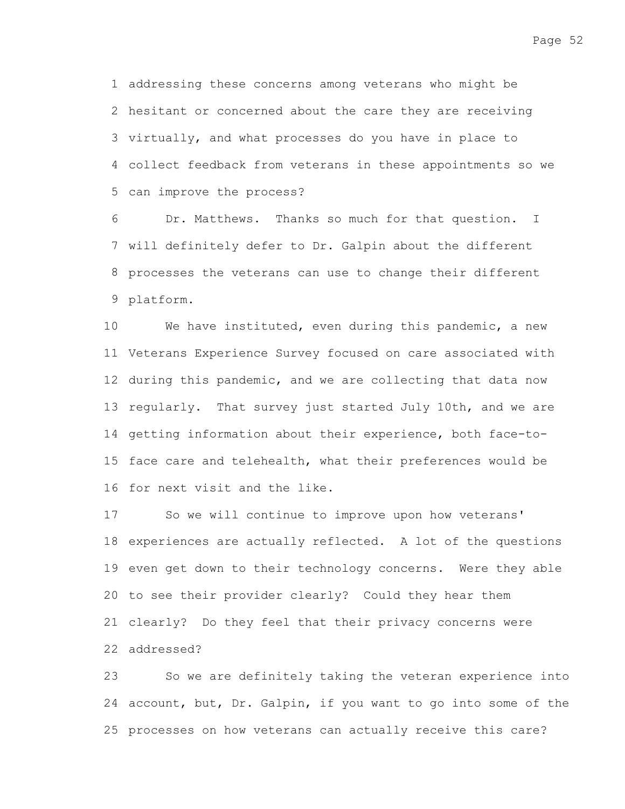addressing these concerns among veterans who might be 1 hesitant or concerned about the care they are receiving 2 3 virtually, and what processes do you have in place to collect feedback from veterans in these appointments so we 4 5 can improve the process?

Dr. Matthews. Thanks so much for that question. I 7 will definitely defer to Dr. Galpin about the different 8 processes the veterans can use to change their different platform. 9 6

We have instituted, even during this pandemic, a new 11 Veterans Experience Survey focused on care associated with 12 during this pandemic, and we are collecting that data now 13 regularly. That survey just started July 10th, and we are 14 getting information about their experience, both face-to-15 face care and telehealth, what their preferences would be 16 for next visit and the like. 10

So we will continue to improve upon how veterans' 18 experiences are actually reflected. A lot of the questions 19 even get down to their technology concerns. Were they able 20 to see their provider clearly? Could they hear them 21 clearly? Do they feel that their privacy concerns were addressed? 22 17

So we are definitely taking the veteran experience into 24 account, but, Dr. Galpin, if you want to go into some of the 25 processes on how veterans can actually receive this care? 23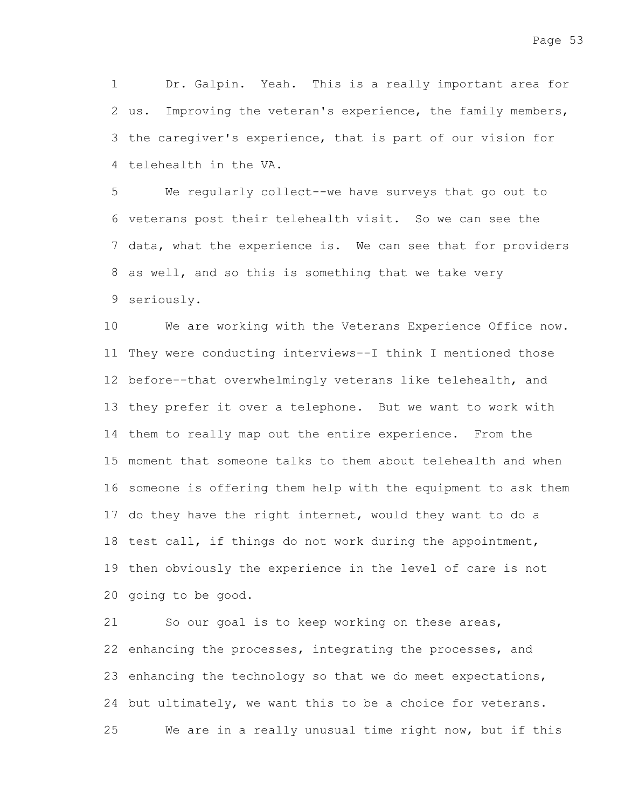Dr. Galpin. Yeah. This is a really important area for 2 us. Improving the veteran's experience, the family members, 3 the caregiver's experience, that is part of our vision for 4 telehealth in the VA. 1

We regularly collect--we have surveys that go out to 6 veterans post their telehealth visit. So we can see the 7 data, what the experience is. We can see that for providers 8 as well, and so this is something that we take very seriously. 9 5

We are working with the Veterans Experience Office now. 11 They were conducting interviews--I think I mentioned those 12 before--that overwhelmingly veterans like telehealth, and 13 they prefer it over a telephone. But we want to work with 14 them to really map out the entire experience. From the moment that someone talks to them about telehealth and when 15 16 someone is offering them help with the equipment to ask them 17 do they have the right internet, would they want to do a 18 test call, if things do not work during the appointment, 19 then obviously the experience in the level of care is not 20 going to be good. 10

So our goal is to keep working on these areas, 22 enhancing the processes, integrating the processes, and 23 enhancing the technology so that we do meet expectations, 24 but ultimately, we want this to be a choice for veterans. We are in a really unusual time right now, but if this 21 25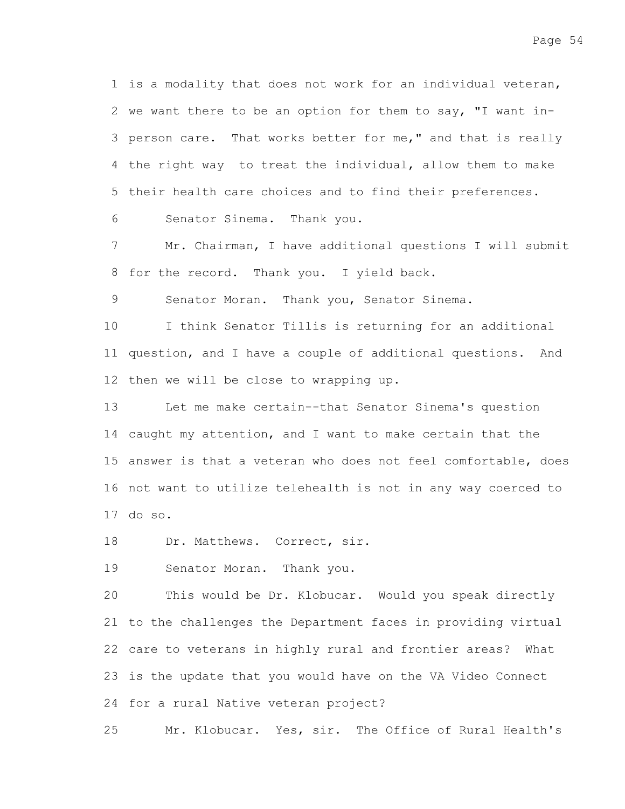1 is a modality that does not work for an individual veteran, 2 we want there to be an option for them to say, "I want in-3 person care. That works better for me," and that is really 4 the right way to treat the individual, allow them to make 5 their health care choices and to find their preferences.

Senator Sinema. Thank you. 6

Mr. Chairman, I have additional questions I will submit 8 for the record. Thank you. I yield back. 7

Senator Moran. Thank you, Senator Sinema. 9

I think Senator Tillis is returning for an additional 11 question, and I have a couple of additional questions. And 12 then we will be close to wrapping up. 10

Let me make certain--that Senator Sinema's question 14 caught my attention, and I want to make certain that the 15 answer is that a veteran who does not feel comfortable, does 16 not want to utilize telehealth is not in any way coerced to do so. 17 13

Dr. Matthews. Correct, sir. 18

Senator Moran. Thank you. 19

This would be Dr. Klobucar. Would you speak directly 21 to the challenges the Department faces in providing virtual 22 care to veterans in highly rural and frontier areas? What 23 is the update that you would have on the VA Video Connect 24 for a rural Native veteran project? 20

Mr. Klobucar. Yes, sir. The Office of Rural Health's 25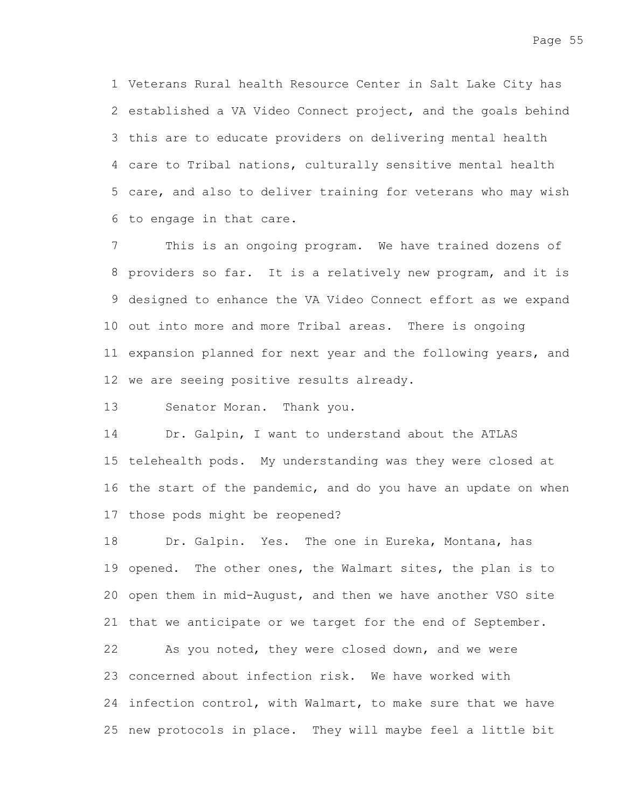Page 55

Veterans Rural health Resource Center in Salt Lake City has 1 2 established a VA Video Connect project, and the goals behind 3 this are to educate providers on delivering mental health care to Tribal nations, culturally sensitive mental health 4 5 care, and also to deliver training for veterans who may wish 6 to engage in that care.

This is an ongoing program. We have trained dozens of 8 providers so far. It is a relatively new program, and it is 9 designed to enhance the VA Video Connect effort as we expand 10 out into more and more Tribal areas. There is ongoing 11 expansion planned for next year and the following years, and 12 we are seeing positive results already. 7

Senator Moran. Thank you. 13

Dr. Galpin, I want to understand about the ATLAS 15 telehealth pods. My understanding was they were closed at 16 the start of the pandemic, and do you have an update on when 17 those pods might be reopened? 14

Dr. Galpin. Yes. The one in Eureka, Montana, has 19 opened. The other ones, the Walmart sites, the plan is to 20 open them in mid-August, and then we have another VSO site 21 that we anticipate or we target for the end of September. As you noted, they were closed down, and we were 23 concerned about infection risk. We have worked with 24 infection control, with Walmart, to make sure that we have 25 new protocols in place. They will maybe feel a little bit 18 22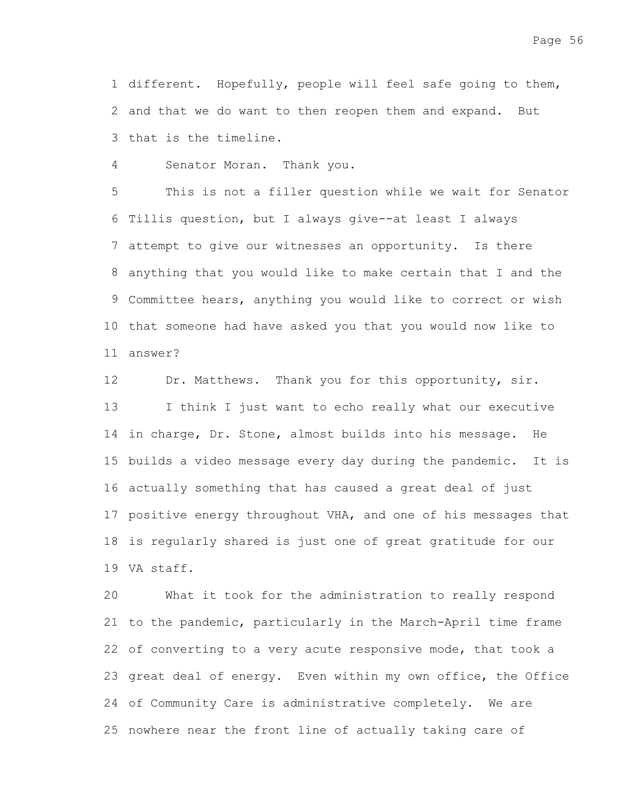1 different. Hopefully, people will feel safe going to them, 2 and that we do want to then reopen them and expand. But 3 that is the timeline.

Senator Moran. Thank you. 4

This is not a filler question while we wait for Senator 6 Tillis question, but I always give--at least I always attempt to give our witnesses an opportunity. Is there 7 8 anything that you would like to make certain that I and the 9 Committee hears, anything you would like to correct or wish 10 that someone had have asked you that you would now like to answer? 11 5

Dr. Matthews. Thank you for this opportunity, sir. I think I just want to echo really what our executive 14 in charge, Dr. Stone, almost builds into his message. He 15 builds a video message every day during the pandemic. It is 16 actually something that has caused a great deal of just 17 positive energy throughout VHA, and one of his messages that 18 is regularly shared is just one of great gratitude for our VA staff. 19 12 13

What it took for the administration to really respond 21 to the pandemic, particularly in the March-April time frame 22 of converting to a very acute responsive mode, that took a 23 great deal of energy. Even within my own office, the Office 24 of Community Care is administrative completely. We are 25 nowhere near the front line of actually taking care of 20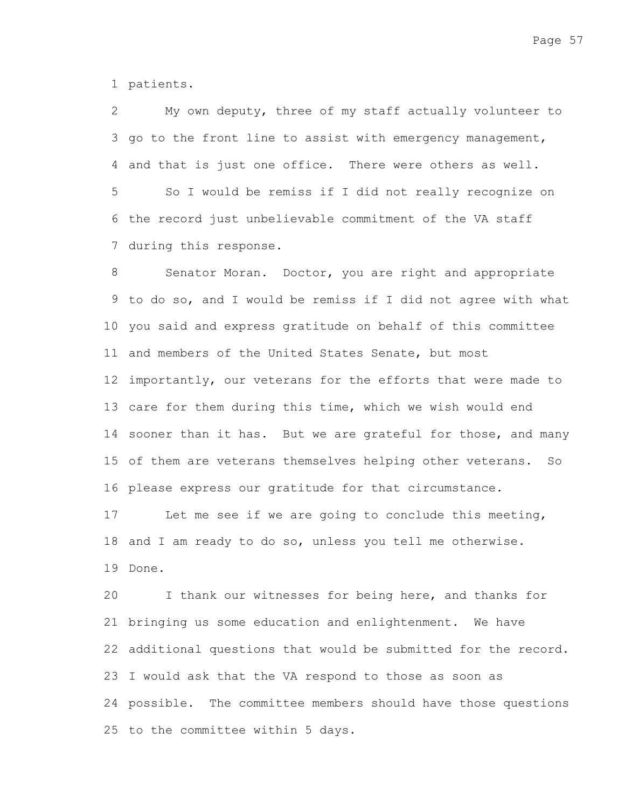1 patients.

My own deputy, three of my staff actually volunteer to 3 go to the front line to assist with emergency management, 4 and that is just one office. There were others as well. 2

So I would be remiss if I did not really recognize on 6 the record just unbelievable commitment of the VA staff 7 during this response. 5

Senator Moran. Doctor, you are right and appropriate 9 to do so, and I would be remiss if I did not agree with what 10 you said and express gratitude on behalf of this committee 11 and members of the United States Senate, but most 12 importantly, our veterans for the efforts that were made to 13 care for them during this time, which we wish would end 14 sooner than it has. But we are grateful for those, and many 15 of them are veterans themselves helping other veterans. So 16 please express our gratitude for that circumstance. 8

Let me see if we are going to conclude this meeting, 18 and I am ready to do so, unless you tell me otherwise. 19 Done. 17

I thank our witnesses for being here, and thanks for 21 bringing us some education and enlightenment. We have 22 additional questions that would be submitted for the record. 23 I would ask that the VA respond to those as soon as 24 possible. The committee members should have those questions 25 to the committee within 5 days. 20

Page 57